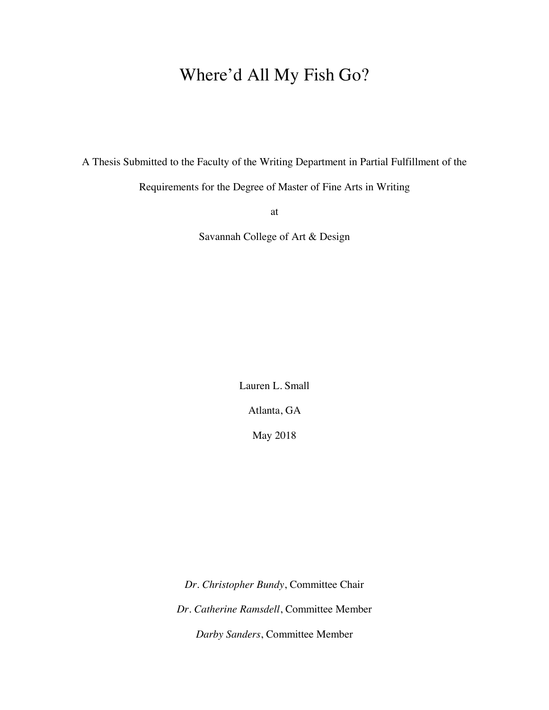# Where'd All My Fish Go?

A Thesis Submitted to the Faculty of the Writing Department in Partial Fulfillment of the

Requirements for the Degree of Master of Fine Arts in Writing

at

Savannah College of Art & Design

Lauren L. Small

Atlanta, GA

May 2018

*Dr. Christopher Bundy*, Committee Chair *Dr. Catherine Ramsdell*, Committee Member *Darby Sanders*, Committee Member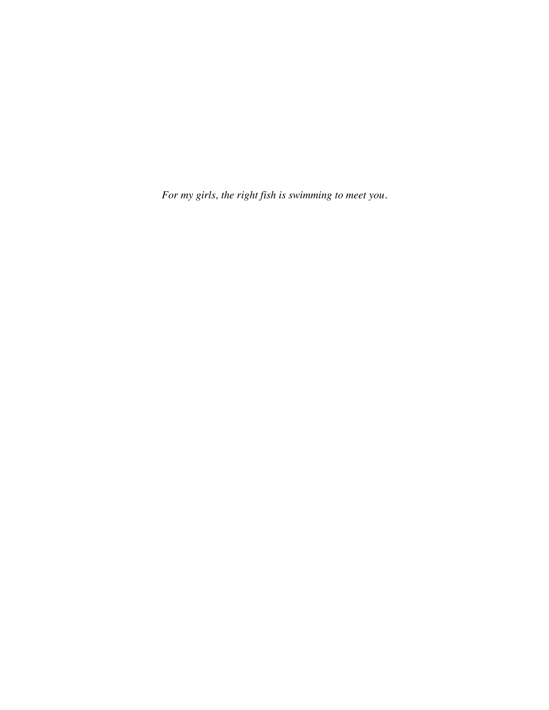*For my girls, the right fish is swimming to meet you.*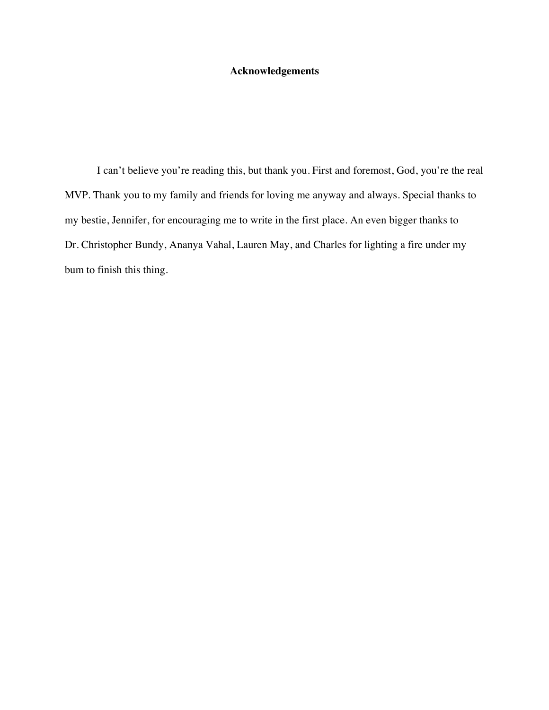### **Acknowledgements**

I can't believe you're reading this, but thank you. First and foremost, God, you're the real MVP. Thank you to my family and friends for loving me anyway and always. Special thanks to my bestie, Jennifer, for encouraging me to write in the first place. An even bigger thanks to Dr. Christopher Bundy, Ananya Vahal, Lauren May, and Charles for lighting a fire under my bum to finish this thing.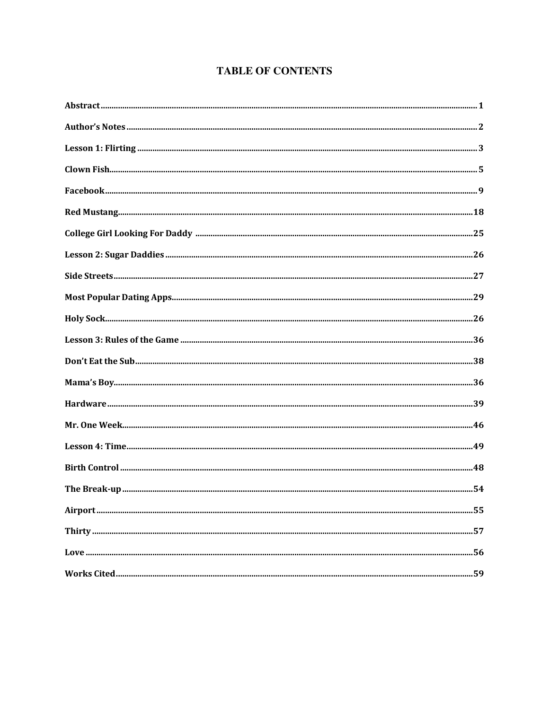# **TABLE OF CONTENTS**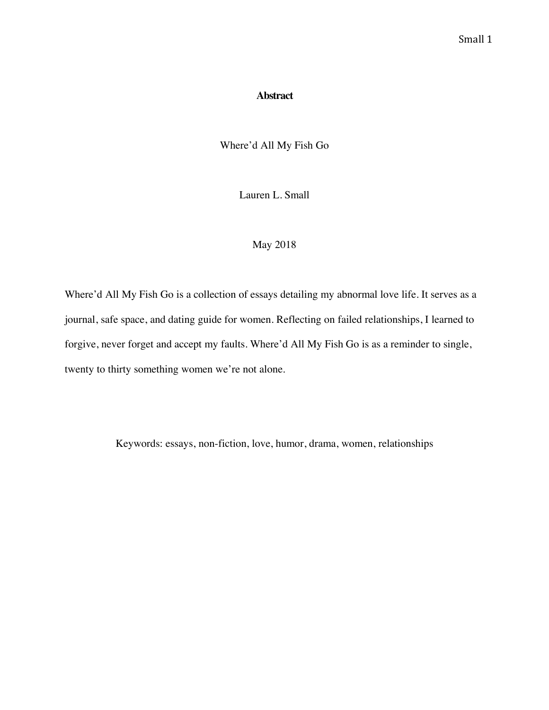### **Abstract**

Where'd All My Fish Go

Lauren L. Small

# May 2018

Where'd All My Fish Go is a collection of essays detailing my abnormal love life. It serves as a journal, safe space, and dating guide for women. Reflecting on failed relationships, I learned to forgive, never forget and accept my faults. Where'd All My Fish Go is as a reminder to single, twenty to thirty something women we're not alone.

Keywords: essays, non-fiction, love, humor, drama, women, relationships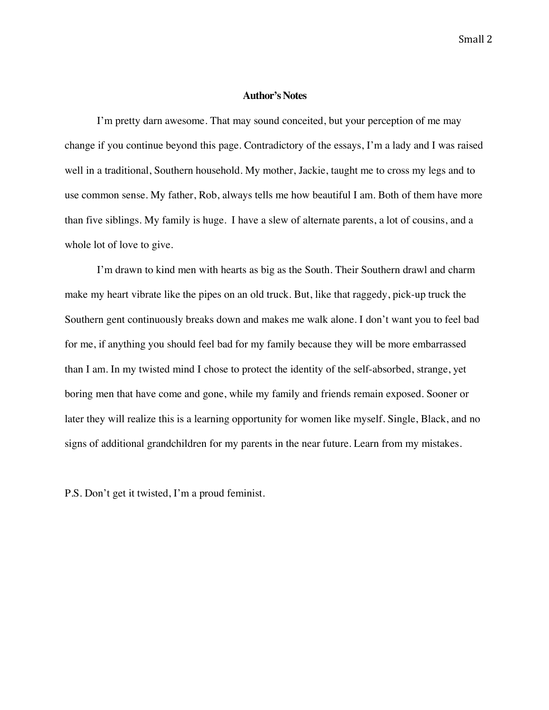### **Author's Notes**

I'm pretty darn awesome. That may sound conceited, but your perception of me may change if you continue beyond this page. Contradictory of the essays, I'm a lady and I was raised well in a traditional, Southern household. My mother, Jackie, taught me to cross my legs and to use common sense. My father, Rob, always tells me how beautiful I am. Both of them have more than five siblings. My family is huge. I have a slew of alternate parents, a lot of cousins, and a whole lot of love to give.

I'm drawn to kind men with hearts as big as the South. Their Southern drawl and charm make my heart vibrate like the pipes on an old truck. But, like that raggedy, pick-up truck the Southern gent continuously breaks down and makes me walk alone. I don't want you to feel bad for me, if anything you should feel bad for my family because they will be more embarrassed than I am. In my twisted mind I chose to protect the identity of the self-absorbed, strange, yet boring men that have come and gone, while my family and friends remain exposed. Sooner or later they will realize this is a learning opportunity for women like myself. Single, Black, and no signs of additional grandchildren for my parents in the near future. Learn from my mistakes.

P.S. Don't get it twisted, I'm a proud feminist.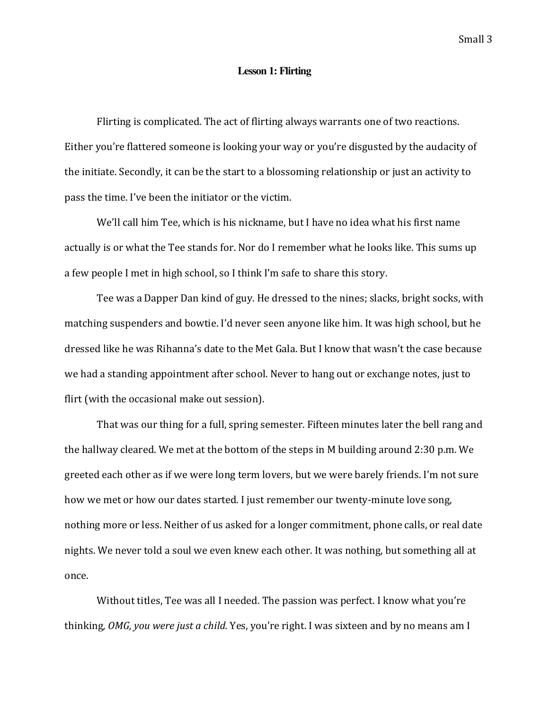### **Lesson 1: Flirting**

Flirting is complicated. The act of flirting always warrants one of two reactions. Either you're flattered someone is looking your way or you're disgusted by the audacity of the initiate. Secondly, it can be the start to a blossoming relationship or just an activity to pass the time. I've been the initiator or the victim.

We'll call him Tee, which is his nickname, but I have no idea what his first name actually is or what the Tee stands for. Nor do I remember what he looks like. This sums up a few people I met in high school, so I think I'm safe to share this story.

Tee was a Dapper Dan kind of guy. He dressed to the nines; slacks, bright socks, with matching suspenders and bowtie. I'd never seen anyone like him. It was high school, but he dressed like he was Rihanna's date to the Met Gala. But I know that wasn't the case because we had a standing appointment after school. Never to hang out or exchange notes, just to flirt (with the occasional make out session).

That was our thing for a full, spring semester. Fifteen minutes later the bell rang and the hallway cleared. We met at the bottom of the steps in M building around  $2:30$  p.m. We greeted each other as if we were long term lovers, but we were barely friends. I'm not sure how we met or how our dates started. I just remember our twenty-minute love song, nothing more or less. Neither of us asked for a longer commitment, phone calls, or real date nights. We never told a soul we even knew each other. It was nothing, but something all at once. 

Without titles, Tee was all I needed. The passion was perfect. I know what you're thinking, *OMG, you were just a child.* Yes, you're right. I was sixteen and by no means am I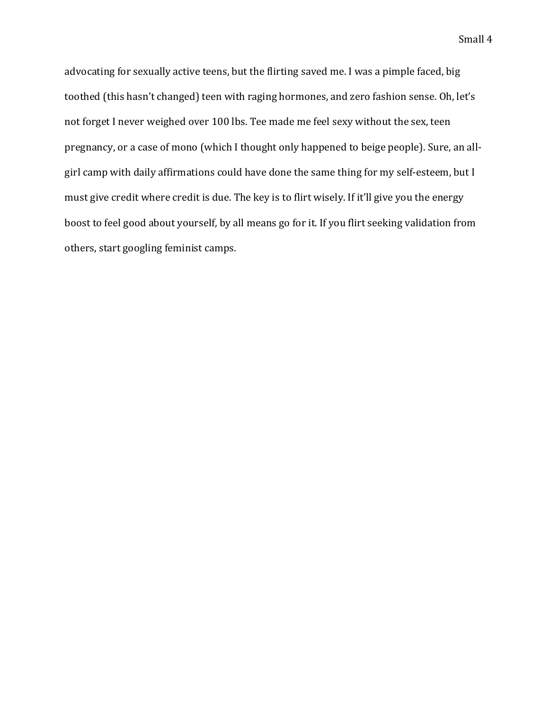advocating for sexually active teens, but the flirting saved me. I was a pimple faced, big toothed (this hasn't changed) teen with raging hormones, and zero fashion sense. Oh, let's not forget I never weighed over 100 lbs. Tee made me feel sexy without the sex, teen pregnancy, or a case of mono (which I thought only happened to beige people). Sure, an allgirl camp with daily affirmations could have done the same thing for my self-esteem, but I must give credit where credit is due. The key is to flirt wisely. If it'll give you the energy boost to feel good about yourself, by all means go for it. If you flirt seeking validation from others, start googling feminist camps.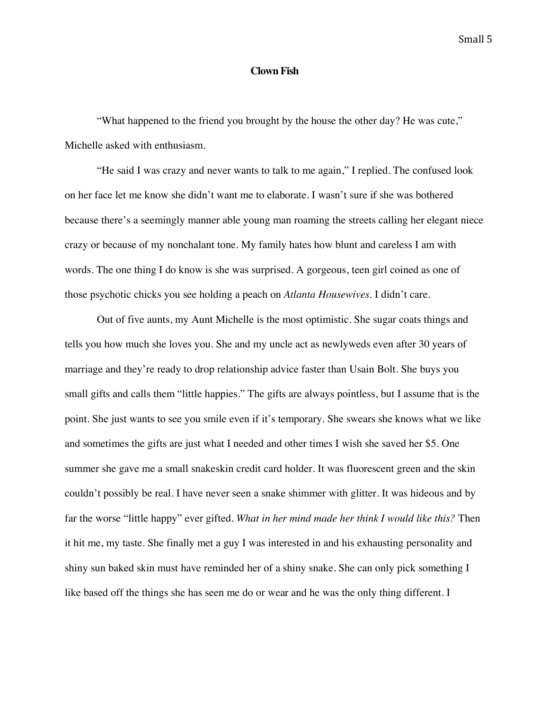### **Clown Fish**

"What happened to the friend you brought by the house the other day? He was cute," Michelle asked with enthusiasm.

"He said I was crazy and never wants to talk to me again," I replied. The confused look on her face let me know she didn't want me to elaborate. I wasn't sure if she was bothered because there's a seemingly manner able young man roaming the streets calling her elegant niece crazy or because of my nonchalant tone. My family hates how blunt and careless I am with words. The one thing I do know is she was surprised. A gorgeous, teen girl coined as one of those psychotic chicks you see holding a peach on *Atlanta Housewives*. I didn't care.

Out of five aunts, my Aunt Michelle is the most optimistic. She sugar coats things and tells you how much she loves you. She and my uncle act as newlyweds even after 30 years of marriage and they're ready to drop relationship advice faster than Usain Bolt. She buys you small gifts and calls them "little happies." The gifts are always pointless, but I assume that is the point. She just wants to see you smile even if it's temporary. She swears she knows what we like and sometimes the gifts are just what I needed and other times I wish she saved her \$5. One summer she gave me a small snakeskin credit card holder. It was fluorescent green and the skin couldn't possibly be real. I have never seen a snake shimmer with glitter. It was hideous and by far the worse "little happy" ever gifted. *What in her mind made her think I would like this?* Then it hit me, my taste. She finally met a guy I was interested in and his exhausting personality and shiny sun baked skin must have reminded her of a shiny snake. She can only pick something I like based off the things she has seen me do or wear and he was the only thing different. I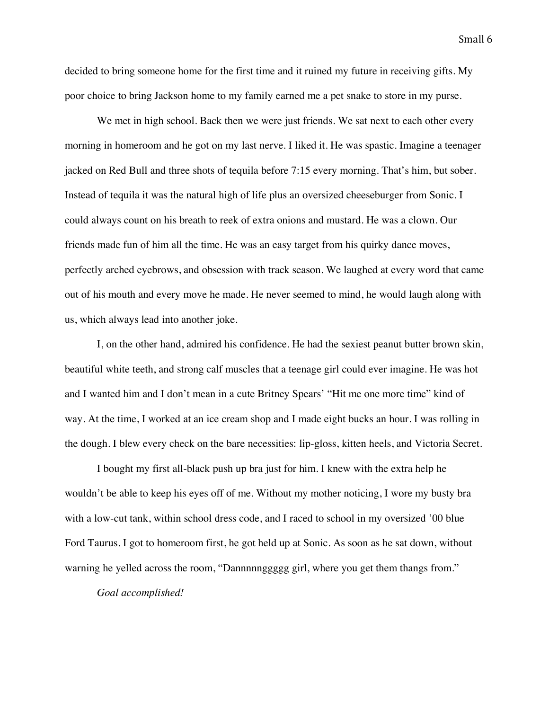decided to bring someone home for the first time and it ruined my future in receiving gifts. My poor choice to bring Jackson home to my family earned me a pet snake to store in my purse.

We met in high school. Back then we were just friends. We sat next to each other every morning in homeroom and he got on my last nerve. I liked it. He was spastic. Imagine a teenager jacked on Red Bull and three shots of tequila before 7:15 every morning. That's him, but sober. Instead of tequila it was the natural high of life plus an oversized cheeseburger from Sonic. I could always count on his breath to reek of extra onions and mustard. He was a clown. Our friends made fun of him all the time. He was an easy target from his quirky dance moves, perfectly arched eyebrows, and obsession with track season. We laughed at every word that came out of his mouth and every move he made. He never seemed to mind, he would laugh along with us, which always lead into another joke.

I, on the other hand, admired his confidence. He had the sexiest peanut butter brown skin, beautiful white teeth, and strong calf muscles that a teenage girl could ever imagine. He was hot and I wanted him and I don't mean in a cute Britney Spears' "Hit me one more time" kind of way. At the time, I worked at an ice cream shop and I made eight bucks an hour. I was rolling in the dough. I blew every check on the bare necessities: lip-gloss, kitten heels, and Victoria Secret.

I bought my first all-black push up bra just for him. I knew with the extra help he wouldn't be able to keep his eyes off of me. Without my mother noticing, I wore my busty bra with a low-cut tank, within school dress code, and I raced to school in my oversized '00 blue Ford Taurus. I got to homeroom first, he got held up at Sonic. As soon as he sat down, without warning he yelled across the room, "Dannnnnggggg girl, where you get them thangs from."

*Goal accomplished!*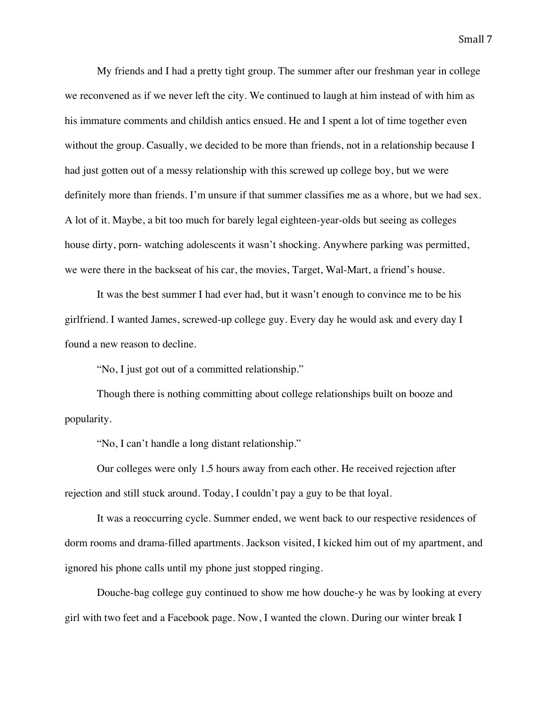My friends and I had a pretty tight group. The summer after our freshman year in college we reconvened as if we never left the city. We continued to laugh at him instead of with him as his immature comments and childish antics ensued. He and I spent a lot of time together even without the group. Casually, we decided to be more than friends, not in a relationship because I had just gotten out of a messy relationship with this screwed up college boy, but we were definitely more than friends. I'm unsure if that summer classifies me as a whore, but we had sex. A lot of it. Maybe, a bit too much for barely legal eighteen-year-olds but seeing as colleges house dirty, porn- watching adolescents it wasn't shocking. Anywhere parking was permitted, we were there in the backseat of his car, the movies, Target, Wal-Mart, a friend's house.

It was the best summer I had ever had, but it wasn't enough to convince me to be his girlfriend. I wanted James, screwed-up college guy. Every day he would ask and every day I found a new reason to decline.

"No, I just got out of a committed relationship."

Though there is nothing committing about college relationships built on booze and popularity.

"No, I can't handle a long distant relationship."

Our colleges were only 1.5 hours away from each other. He received rejection after rejection and still stuck around. Today, I couldn't pay a guy to be that loyal.

It was a reoccurring cycle. Summer ended, we went back to our respective residences of dorm rooms and drama-filled apartments. Jackson visited, I kicked him out of my apartment, and ignored his phone calls until my phone just stopped ringing.

Douche-bag college guy continued to show me how douche-y he was by looking at every girl with two feet and a Facebook page. Now, I wanted the clown. During our winter break I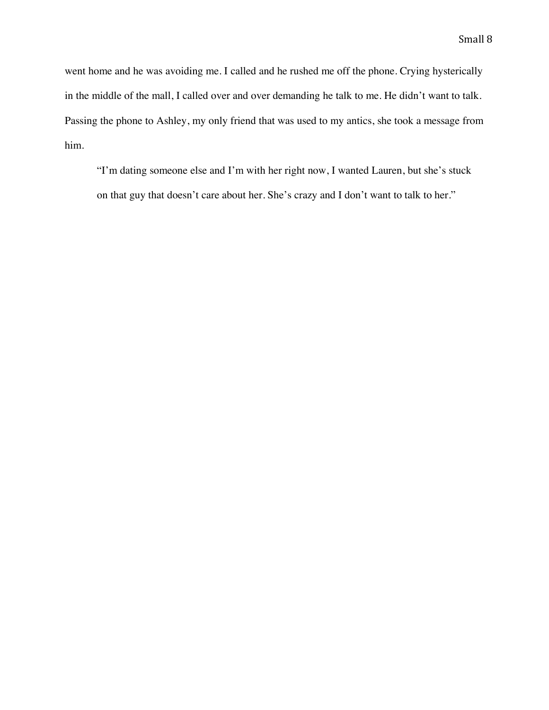went home and he was avoiding me. I called and he rushed me off the phone. Crying hysterically in the middle of the mall, I called over and over demanding he talk to me. He didn't want to talk. Passing the phone to Ashley, my only friend that was used to my antics, she took a message from him.

"I'm dating someone else and I'm with her right now, I wanted Lauren, but she's stuck on that guy that doesn't care about her. She's crazy and I don't want to talk to her."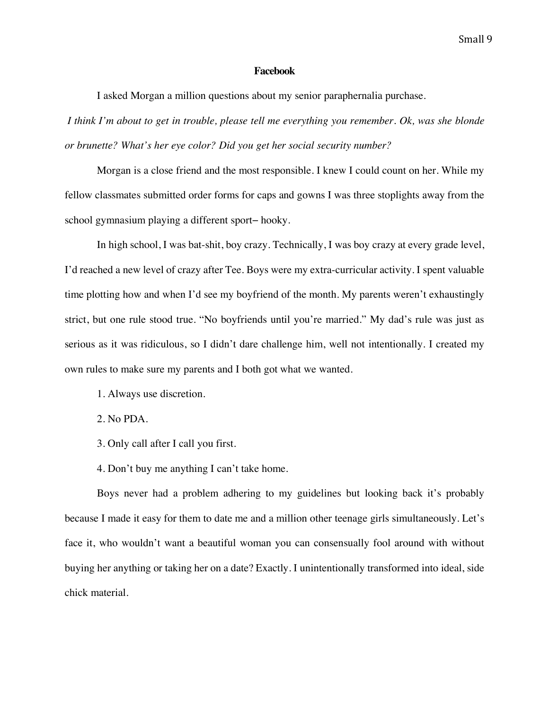### **Facebook**

I asked Morgan a million questions about my senior paraphernalia purchase.

*I think I'm about to get in trouble, please tell me everything you remember. Ok, was she blonde or brunette? What's her eye color? Did you get her social security number?* 

Morgan is a close friend and the most responsible. I knew I could count on her. While my fellow classmates submitted order forms for caps and gowns I was three stoplights away from the school gymnasium playing a different sport− hooky.

In high school, I was bat-shit, boy crazy. Technically, I was boy crazy at every grade level, I'd reached a new level of crazy after Tee. Boys were my extra-curricular activity. I spent valuable time plotting how and when I'd see my boyfriend of the month. My parents weren't exhaustingly strict, but one rule stood true. "No boyfriends until you're married." My dad's rule was just as serious as it was ridiculous, so I didn't dare challenge him, well not intentionally. I created my own rules to make sure my parents and I both got what we wanted.

- 1. Always use discretion.
- 2. No PDA.
- 3. Only call after I call you first.
- 4. Don't buy me anything I can't take home.

Boys never had a problem adhering to my guidelines but looking back it's probably because I made it easy for them to date me and a million other teenage girls simultaneously. Let's face it, who wouldn't want a beautiful woman you can consensually fool around with without buying her anything or taking her on a date? Exactly. I unintentionally transformed into ideal, side chick material.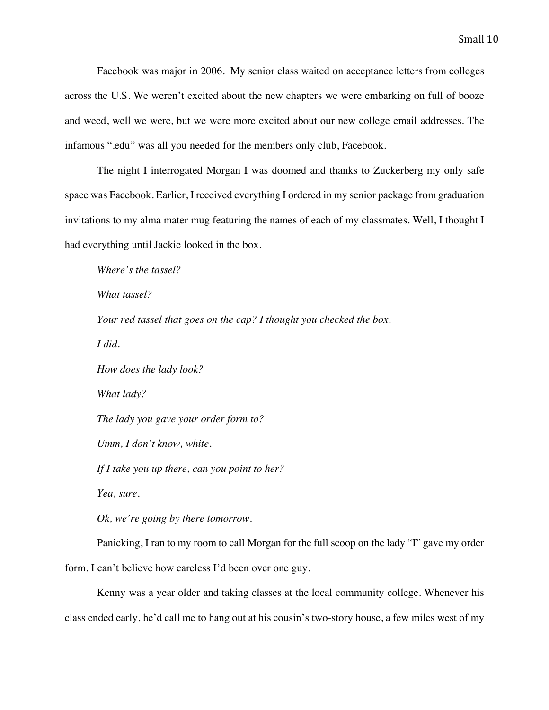Facebook was major in 2006. My senior class waited on acceptance letters from colleges across the U.S. We weren't excited about the new chapters we were embarking on full of booze and weed, well we were, but we were more excited about our new college email addresses. The infamous ".edu" was all you needed for the members only club, Facebook.

The night I interrogated Morgan I was doomed and thanks to Zuckerberg my only safe space was Facebook. Earlier, I received everything I ordered in my senior package from graduation invitations to my alma mater mug featuring the names of each of my classmates. Well, I thought I had everything until Jackie looked in the box.

*Where's the tassel? What tassel? Your red tassel that goes on the cap? I thought you checked the box. I did. How does the lady look? What lady? The lady you gave your order form to? Umm, I don't know, white. If I take you up there, can you point to her? Yea, sure. Ok, we're going by there tomorrow.* Panicking, I ran to my room to call Morgan for the full scoop on the lady "I" gave my order

form. I can't believe how careless I'd been over one guy.

Kenny was a year older and taking classes at the local community college. Whenever his class ended early, he'd call me to hang out at his cousin's two-story house, a few miles west of my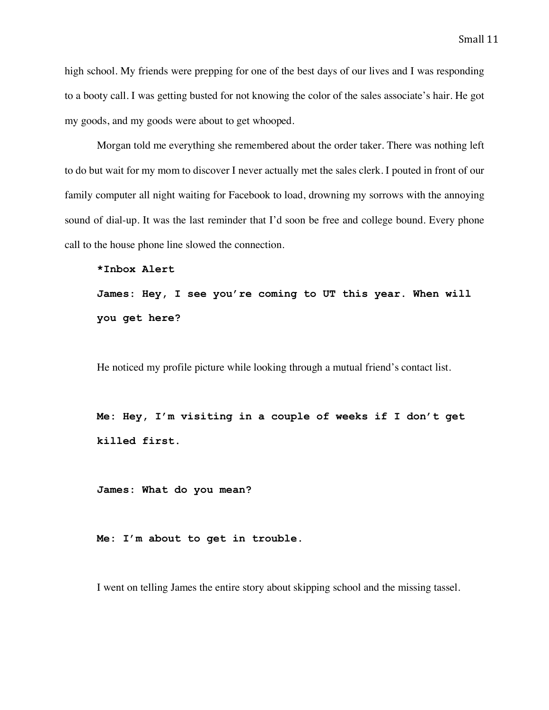high school. My friends were prepping for one of the best days of our lives and I was responding to a booty call. I was getting busted for not knowing the color of the sales associate's hair. He got my goods, and my goods were about to get whooped.

Morgan told me everything she remembered about the order taker. There was nothing left to do but wait for my mom to discover I never actually met the sales clerk. I pouted in front of our family computer all night waiting for Facebook to load, drowning my sorrows with the annoying sound of dial-up. It was the last reminder that I'd soon be free and college bound. Every phone call to the house phone line slowed the connection.

```
*Inbox Alert
```
**James: Hey, I see you're coming to UT this year. When will you get here?**

He noticed my profile picture while looking through a mutual friend's contact list.

**Me: Hey, I'm visiting in a couple of weeks if I don't get killed first.**

**James: What do you mean?**

**Me: I'm about to get in trouble.**

I went on telling James the entire story about skipping school and the missing tassel.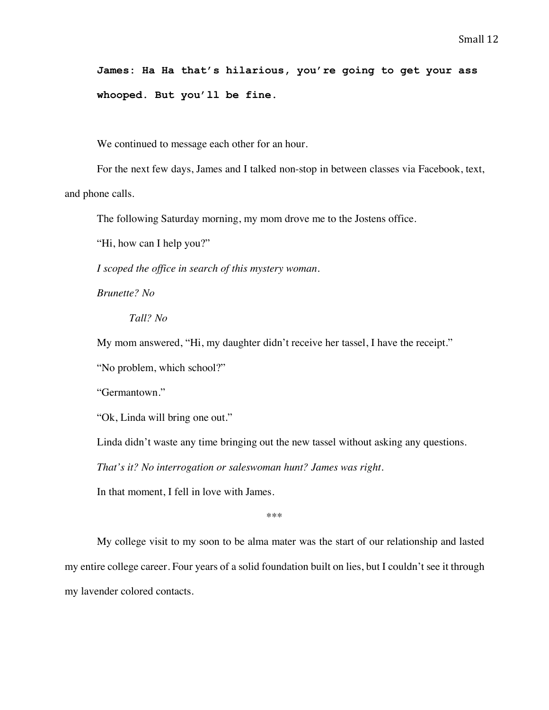**James: Ha Ha that's hilarious, you're going to get your ass whooped. But you'll be fine.**

We continued to message each other for an hour.

For the next few days, James and I talked non-stop in between classes via Facebook, text, and phone calls.

The following Saturday morning, my mom drove me to the Jostens office.

"Hi, how can I help you?"

*I scoped the office in search of this mystery woman.*

*Brunette? No*

*Tall? No*

My mom answered, "Hi, my daughter didn't receive her tassel, I have the receipt."

"No problem, which school?"

"Germantown."

"Ok, Linda will bring one out."

Linda didn't waste any time bringing out the new tassel without asking any questions.

*That's it? No interrogation or saleswoman hunt? James was right.*

In that moment, I fell in love with James.

\*\*\*

My college visit to my soon to be alma mater was the start of our relationship and lasted my entire college career. Four years of a solid foundation built on lies, but I couldn't see it through my lavender colored contacts.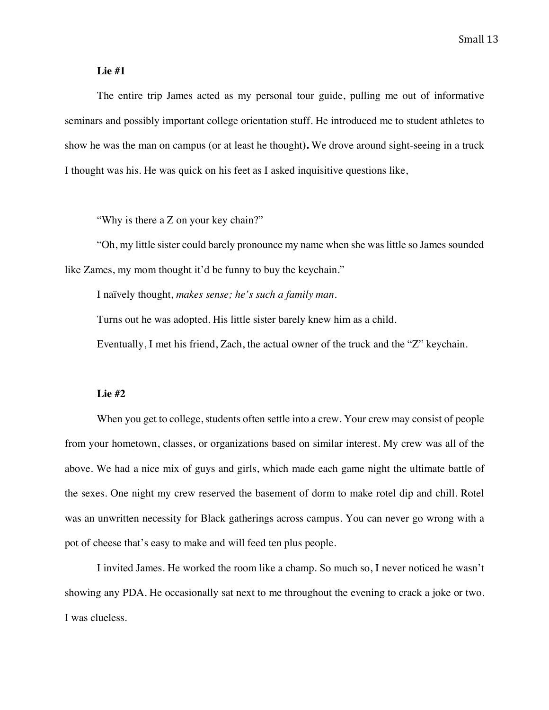### **Lie #1**

The entire trip James acted as my personal tour guide, pulling me out of informative seminars and possibly important college orientation stuff. He introduced me to student athletes to show he was the man on campus (or at least he thought**).** We drove around sight-seeing in a truck I thought was his. He was quick on his feet as I asked inquisitive questions like,

"Why is there a Z on your key chain?"

"Oh, my little sister could barely pronounce my name when she was little so James sounded like Zames, my mom thought it'd be funny to buy the keychain."

I naïvely thought, *makes sense; he's such a family man.* 

Turns out he was adopted. His little sister barely knew him as a child.

Eventually, I met his friend, Zach, the actual owner of the truck and the "Z" keychain.

### **Lie #2**

When you get to college, students often settle into a crew. Your crew may consist of people from your hometown, classes, or organizations based on similar interest. My crew was all of the above. We had a nice mix of guys and girls, which made each game night the ultimate battle of the sexes. One night my crew reserved the basement of dorm to make rotel dip and chill. Rotel was an unwritten necessity for Black gatherings across campus. You can never go wrong with a pot of cheese that's easy to make and will feed ten plus people.

I invited James. He worked the room like a champ. So much so, I never noticed he wasn't showing any PDA. He occasionally sat next to me throughout the evening to crack a joke or two. I was clueless.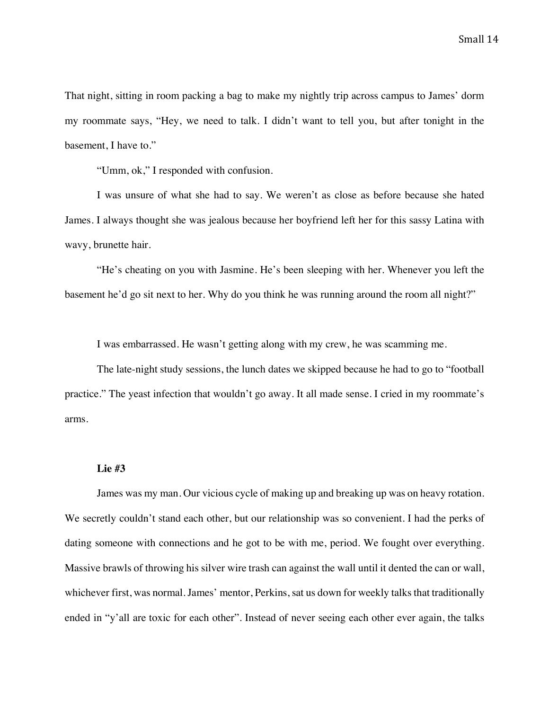That night, sitting in room packing a bag to make my nightly trip across campus to James' dorm my roommate says, "Hey, we need to talk. I didn't want to tell you, but after tonight in the basement, I have to."

"Umm, ok," I responded with confusion.

I was unsure of what she had to say. We weren't as close as before because she hated James. I always thought she was jealous because her boyfriend left her for this sassy Latina with wavy, brunette hair.

"He's cheating on you with Jasmine. He's been sleeping with her. Whenever you left the basement he'd go sit next to her. Why do you think he was running around the room all night?"

I was embarrassed. He wasn't getting along with my crew, he was scamming me.

The late-night study sessions, the lunch dates we skipped because he had to go to "football practice." The yeast infection that wouldn't go away. It all made sense. I cried in my roommate's arms.

### **Lie #3**

James was my man. Our vicious cycle of making up and breaking up was on heavy rotation. We secretly couldn't stand each other, but our relationship was so convenient. I had the perks of dating someone with connections and he got to be with me, period. We fought over everything. Massive brawls of throwing his silver wire trash can against the wall until it dented the can or wall, whichever first, was normal. James' mentor, Perkins, sat us down for weekly talks that traditionally ended in "y'all are toxic for each other". Instead of never seeing each other ever again, the talks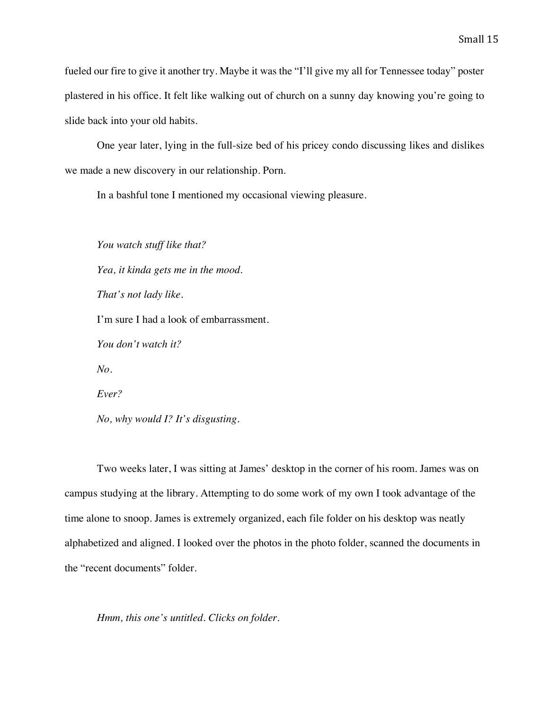fueled our fire to give it another try. Maybe it was the "I'll give my all for Tennessee today" poster plastered in his office. It felt like walking out of church on a sunny day knowing you're going to slide back into your old habits.

One year later, lying in the full-size bed of his pricey condo discussing likes and dislikes we made a new discovery in our relationship. Porn.

In a bashful tone I mentioned my occasional viewing pleasure.

*You watch stuff like that? Yea, it kinda gets me in the mood. That's not lady like.* I'm sure I had a look of embarrassment. *You don't watch it? No. Ever? No, why would I? It's disgusting.*

Two weeks later, I was sitting at James' desktop in the corner of his room. James was on campus studying at the library. Attempting to do some work of my own I took advantage of the time alone to snoop. James is extremely organized, each file folder on his desktop was neatly alphabetized and aligned. I looked over the photos in the photo folder, scanned the documents in the "recent documents" folder.

*Hmm, this one's untitled. Clicks on folder.*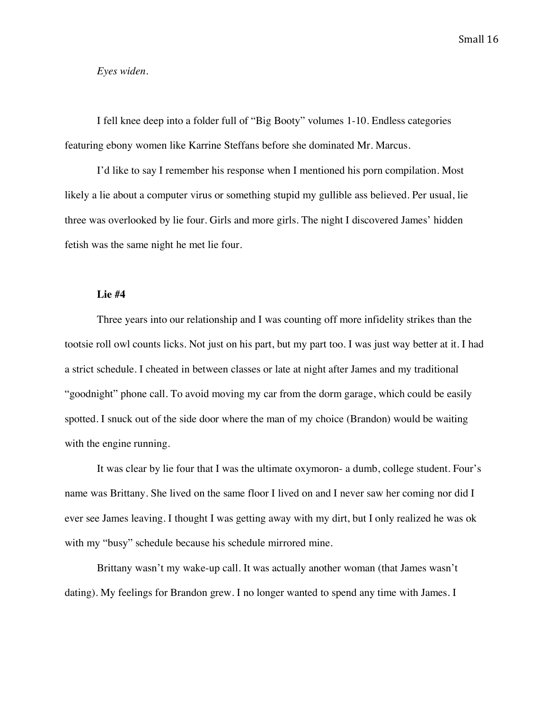### *Eyes widen.*

I fell knee deep into a folder full of "Big Booty" volumes 1-10. Endless categories featuring ebony women like Karrine Steffans before she dominated Mr. Marcus.

I'd like to say I remember his response when I mentioned his porn compilation. Most likely a lie about a computer virus or something stupid my gullible ass believed. Per usual, lie three was overlooked by lie four. Girls and more girls. The night I discovered James' hidden fetish was the same night he met lie four.

### **Lie #4**

Three years into our relationship and I was counting off more infidelity strikes than the tootsie roll owl counts licks. Not just on his part, but my part too. I was just way better at it. I had a strict schedule. I cheated in between classes or late at night after James and my traditional "goodnight" phone call. To avoid moving my car from the dorm garage, which could be easily spotted. I snuck out of the side door where the man of my choice (Brandon) would be waiting with the engine running.

It was clear by lie four that I was the ultimate oxymoron- a dumb, college student. Four's name was Brittany. She lived on the same floor I lived on and I never saw her coming nor did I ever see James leaving. I thought I was getting away with my dirt, but I only realized he was ok with my "busy" schedule because his schedule mirrored mine.

Brittany wasn't my wake-up call. It was actually another woman (that James wasn't dating). My feelings for Brandon grew. I no longer wanted to spend any time with James. I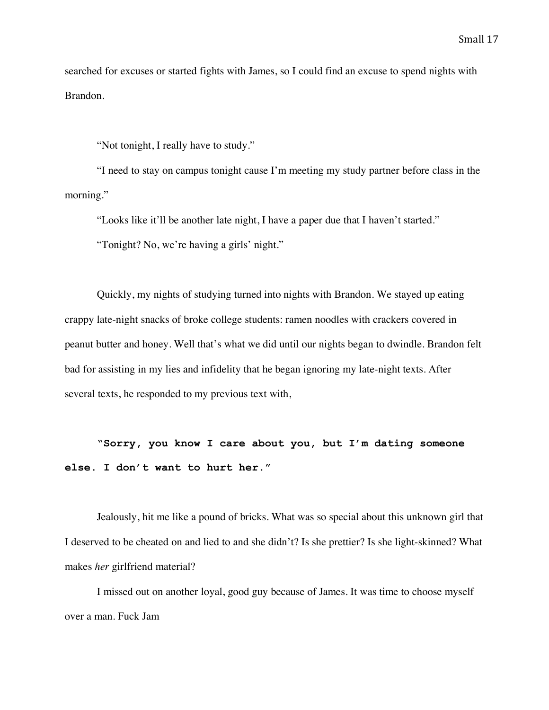searched for excuses or started fights with James, so I could find an excuse to spend nights with Brandon.

"Not tonight, I really have to study."

"I need to stay on campus tonight cause I'm meeting my study partner before class in the morning."

"Looks like it'll be another late night, I have a paper due that I haven't started." "Tonight? No, we're having a girls' night."

Quickly, my nights of studying turned into nights with Brandon. We stayed up eating crappy late-night snacks of broke college students: ramen noodles with crackers covered in peanut butter and honey. Well that's what we did until our nights began to dwindle. Brandon felt bad for assisting in my lies and infidelity that he began ignoring my late-night texts. After several texts, he responded to my previous text with,

**"Sorry, you know I care about you, but I'm dating someone else. I don't want to hurt her."**

Jealously, hit me like a pound of bricks. What was so special about this unknown girl that I deserved to be cheated on and lied to and she didn't? Is she prettier? Is she light-skinned? What makes *her* girlfriend material?

I missed out on another loyal, good guy because of James. It was time to choose myself over a man. Fuck Jam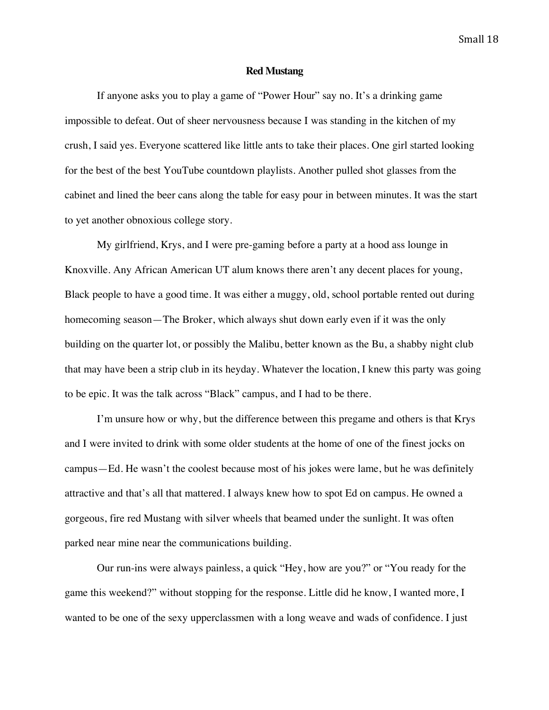### **Red Mustang**

If anyone asks you to play a game of "Power Hour" say no. It's a drinking game impossible to defeat. Out of sheer nervousness because I was standing in the kitchen of my crush, I said yes. Everyone scattered like little ants to take their places. One girl started looking for the best of the best YouTube countdown playlists. Another pulled shot glasses from the cabinet and lined the beer cans along the table for easy pour in between minutes. It was the start to yet another obnoxious college story.

My girlfriend, Krys, and I were pre-gaming before a party at a hood ass lounge in Knoxville. Any African American UT alum knows there aren't any decent places for young, Black people to have a good time. It was either a muggy, old, school portable rented out during homecoming season—The Broker, which always shut down early even if it was the only building on the quarter lot, or possibly the Malibu, better known as the Bu, a shabby night club that may have been a strip club in its heyday. Whatever the location, I knew this party was going to be epic. It was the talk across "Black" campus, and I had to be there.

I'm unsure how or why, but the difference between this pregame and others is that Krys and I were invited to drink with some older students at the home of one of the finest jocks on campus—Ed. He wasn't the coolest because most of his jokes were lame, but he was definitely attractive and that's all that mattered. I always knew how to spot Ed on campus. He owned a gorgeous, fire red Mustang with silver wheels that beamed under the sunlight. It was often parked near mine near the communications building.

Our run-ins were always painless, a quick "Hey, how are you?" or "You ready for the game this weekend?" without stopping for the response. Little did he know, I wanted more, I wanted to be one of the sexy upperclassmen with a long weave and wads of confidence. I just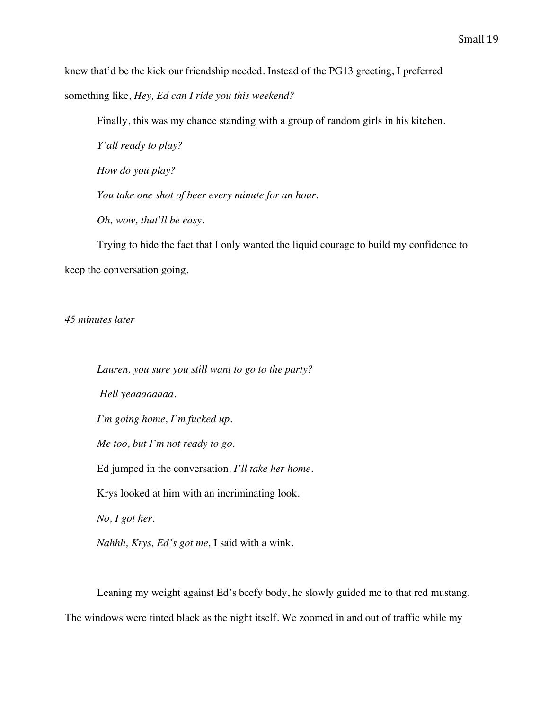knew that'd be the kick our friendship needed. Instead of the PG13 greeting, I preferred something like, *Hey, Ed can I ride you this weekend?*

Finally, this was my chance standing with a group of random girls in his kitchen.

*Y'all ready to play?*

*How do you play?*

*You take one shot of beer every minute for an hour.*

*Oh, wow, that'll be easy.* 

Trying to hide the fact that I only wanted the liquid courage to build my confidence to keep the conversation going.

*45 minutes later*

*Lauren, you sure you still want to go to the party? Hell yeaaaaaaaa. I'm going home, I'm fucked up. Me too, but I'm not ready to go.* Ed jumped in the conversation. *I'll take her home.* Krys looked at him with an incriminating look. *No, I got her. Nahhh, Krys, Ed's got me,* I said with a wink.

Leaning my weight against Ed's beefy body, he slowly guided me to that red mustang. The windows were tinted black as the night itself. We zoomed in and out of traffic while my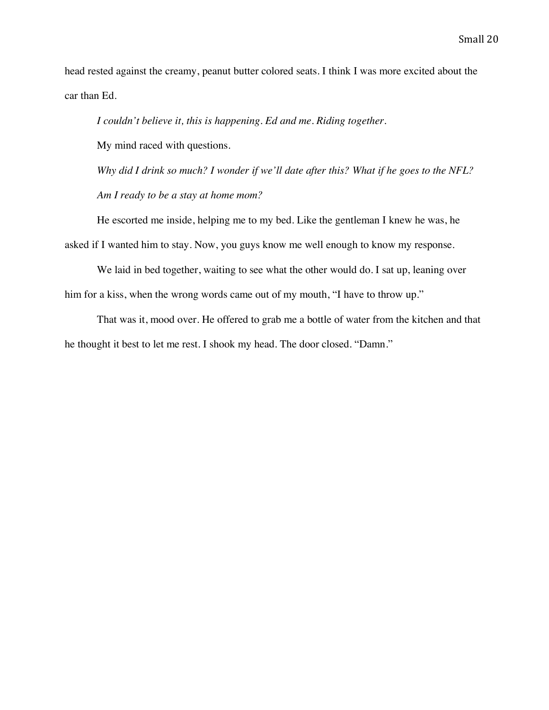head rested against the creamy, peanut butter colored seats. I think I was more excited about the car than Ed.

*I couldn't believe it, this is happening. Ed and me. Riding together.* 

My mind raced with questions.

*Why did I drink so much? I wonder if we'll date after this? What if he goes to the NFL? Am I ready to be a stay at home mom?*

He escorted me inside, helping me to my bed. Like the gentleman I knew he was, he asked if I wanted him to stay. Now, you guys know me well enough to know my response.

We laid in bed together, waiting to see what the other would do. I sat up, leaning over him for a kiss, when the wrong words came out of my mouth, "I have to throw up."

That was it, mood over. He offered to grab me a bottle of water from the kitchen and that he thought it best to let me rest. I shook my head. The door closed. "Damn."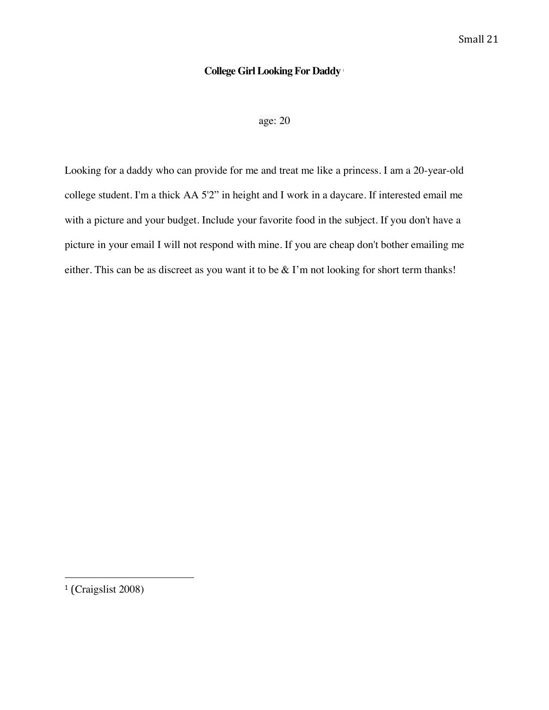## **College Girl Looking For Daddy** <sup>1</sup>

age: 20

Looking for a daddy who can provide for me and treat me like a princess. I am a 20-year-old college student. I'm a thick AA 5'2" in height and I work in a daycare. If interested email me with a picture and your budget. Include your favorite food in the subject. If you don't have a picture in your email I will not respond with mine. If you are cheap don't bother emailing me either. This can be as discreet as you want it to be & I'm not looking for short term thanks!

<sup>1</sup> (Craigslist 2008)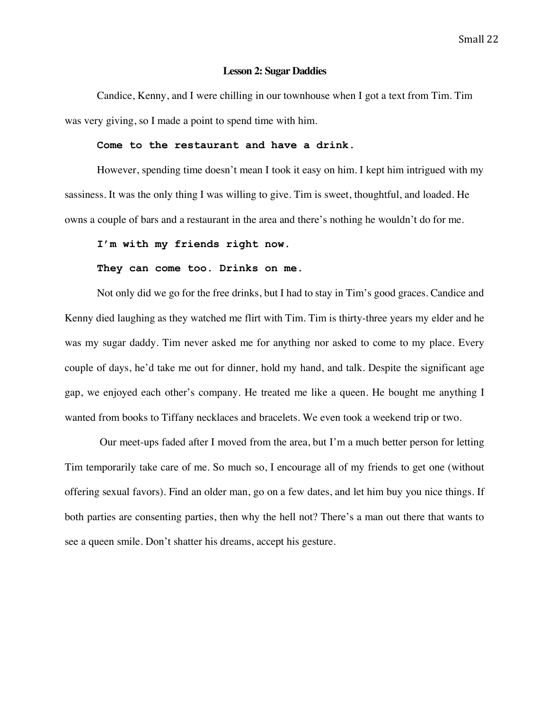### **Lesson 2: Sugar Daddies**

Candice, Kenny, and I were chilling in our townhouse when I got a text from Tim. Tim was very giving, so I made a point to spend time with him.

### **Come to the restaurant and have a drink.**

However, spending time doesn't mean I took it easy on him. I kept him intrigued with my sassiness. It was the only thing I was willing to give. Tim is sweet, thoughtful, and loaded. He owns a couple of bars and a restaurant in the area and there's nothing he wouldn't do for me.

### **I'm with my friends right now.**

### **They can come too. Drinks on me.**

Not only did we go for the free drinks, but I had to stay in Tim's good graces. Candice and Kenny died laughing as they watched me flirt with Tim. Tim is thirty-three years my elder and he was my sugar daddy. Tim never asked me for anything nor asked to come to my place. Every couple of days, he'd take me out for dinner, hold my hand, and talk. Despite the significant age gap, we enjoyed each other's company. He treated me like a queen. He bought me anything I wanted from books to Tiffany necklaces and bracelets. We even took a weekend trip or two.

Our meet-ups faded after I moved from the area, but I'm a much better person for letting Tim temporarily take care of me. So much so, I encourage all of my friends to get one (without offering sexual favors). Find an older man, go on a few dates, and let him buy you nice things. If both parties are consenting parties, then why the hell not? There's a man out there that wants to see a queen smile. Don't shatter his dreams, accept his gesture.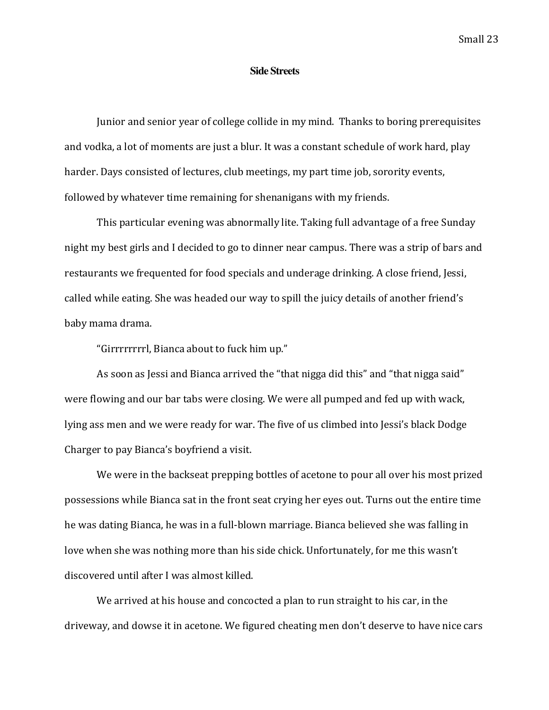### **Side Streets**

Junior and senior year of college collide in my mind. Thanks to boring prerequisites and vodka, a lot of moments are just a blur. It was a constant schedule of work hard, play harder. Days consisted of lectures, club meetings, my part time job, sorority events, followed by whatever time remaining for shenanigans with my friends.

This particular evening was abnormally lite. Taking full advantage of a free Sunday night my best girls and I decided to go to dinner near campus. There was a strip of bars and restaurants we frequented for food specials and underage drinking. A close friend, Jessi, called while eating. She was headed our way to spill the juicy details of another friend's baby mama drama.

"Girrrrrrrrl, Bianca about to fuck him up."

As soon as Jessi and Bianca arrived the "that nigga did this" and "that nigga said" were flowing and our bar tabs were closing. We were all pumped and fed up with wack, lying ass men and we were ready for war. The five of us climbed into Jessi's black Dodge Charger to pay Bianca's boyfriend a visit.

We were in the backseat prepping bottles of acetone to pour all over his most prized possessions while Bianca sat in the front seat crying her eyes out. Turns out the entire time he was dating Bianca, he was in a full-blown marriage. Bianca believed she was falling in love when she was nothing more than his side chick. Unfortunately, for me this wasn't discovered until after I was almost killed.

We arrived at his house and concocted a plan to run straight to his car, in the driveway, and dowse it in acetone. We figured cheating men don't deserve to have nice cars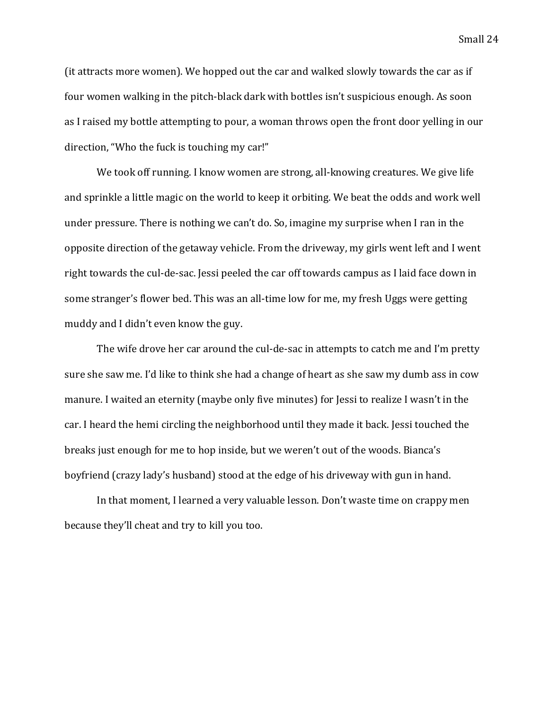(it attracts more women). We hopped out the car and walked slowly towards the car as if four women walking in the pitch-black dark with bottles isn't suspicious enough. As soon as I raised my bottle attempting to pour, a woman throws open the front door yelling in our direction, "Who the fuck is touching my car!"

We took off running. I know women are strong, all-knowing creatures. We give life and sprinkle a little magic on the world to keep it orbiting. We beat the odds and work well under pressure. There is nothing we can't do. So, imagine my surprise when I ran in the opposite direction of the getaway vehicle. From the driveway, my girls went left and I went right towards the cul-de-sac. Jessi peeled the car off towards campus as I laid face down in some stranger's flower bed. This was an all-time low for me, my fresh Uggs were getting muddy and I didn't even know the guy.

The wife drove her car around the cul-de-sac in attempts to catch me and I'm pretty sure she saw me. I'd like to think she had a change of heart as she saw my dumb ass in cow manure. I waited an eternity (maybe only five minutes) for Jessi to realize I wasn't in the car. I heard the hemi circling the neighborhood until they made it back. Jessi touched the breaks just enough for me to hop inside, but we weren't out of the woods. Bianca's boyfriend (crazy lady's husband) stood at the edge of his driveway with gun in hand.

In that moment, I learned a very valuable lesson. Don't waste time on crappy men because they'll cheat and try to kill you too.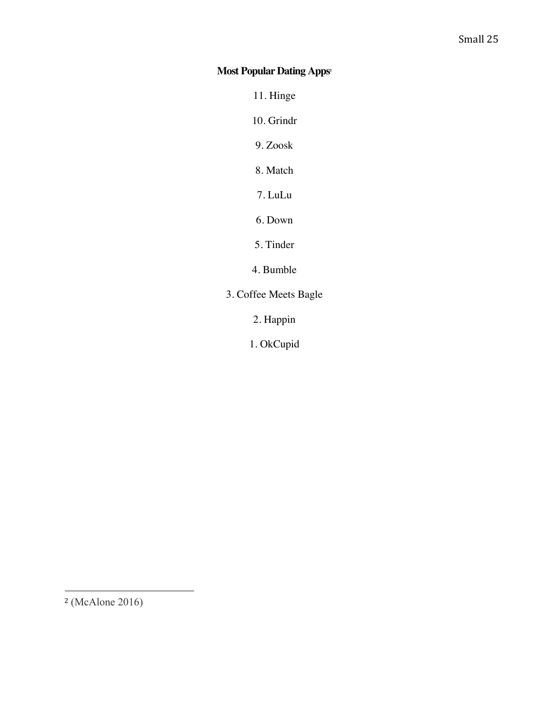# **Most Popular Dating Apps<sup>2</sup>**

11. Hinge

10. Grindr

9. Zoosk

8. Match

7. LuLu

6. Down

5. Tinder

4. Bumble

3. Coffee Meets Bagle

2. Happin

1. OkCupid

<sup>2</sup> (McAlone 2016)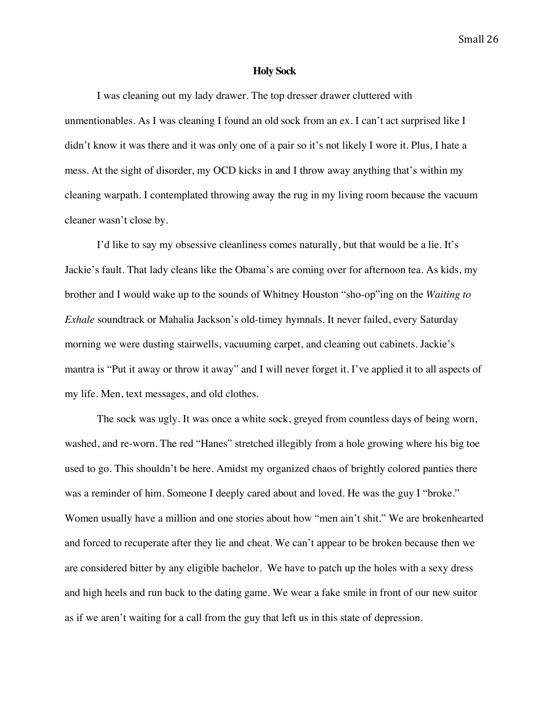### **Holy Sock**

I was cleaning out my lady drawer. The top dresser drawer cluttered with unmentionables. As I was cleaning I found an old sock from an ex. I can't act surprised like I didn't know it was there and it was only one of a pair so it's not likely I wore it. Plus, I hate a mess. At the sight of disorder, my OCD kicks in and I throw away anything that's within my cleaning warpath. I contemplated throwing away the rug in my living room because the vacuum cleaner wasn't close by.

I'd like to say my obsessive cleanliness comes naturally, but that would be a lie. It's Jackie's fault. That lady cleans like the Obama's are coming over for afternoon tea. As kids, my brother and I would wake up to the sounds of Whitney Houston "sho-op"ing on the *Waiting to Exhale* soundtrack or Mahalia Jackson's old-timey hymnals. It never failed, every Saturday morning we were dusting stairwells, vacuuming carpet, and cleaning out cabinets. Jackie's mantra is "Put it away or throw it away" and I will never forget it. I've applied it to all aspects of my life. Men, text messages, and old clothes.

The sock was ugly. It was once a white sock, greyed from countless days of being worn, washed, and re-worn. The red "Hanes" stretched illegibly from a hole growing where his big toe used to go. This shouldn't be here. Amidst my organized chaos of brightly colored panties there was a reminder of him. Someone I deeply cared about and loved. He was the guy I "broke." Women usually have a million and one stories about how "men ain't shit." We are brokenhearted and forced to recuperate after they lie and cheat. We can't appear to be broken because then we are considered bitter by any eligible bachelor. We have to patch up the holes with a sexy dress and high heels and run back to the dating game. We wear a fake smile in front of our new suitor as if we aren't waiting for a call from the guy that left us in this state of depression.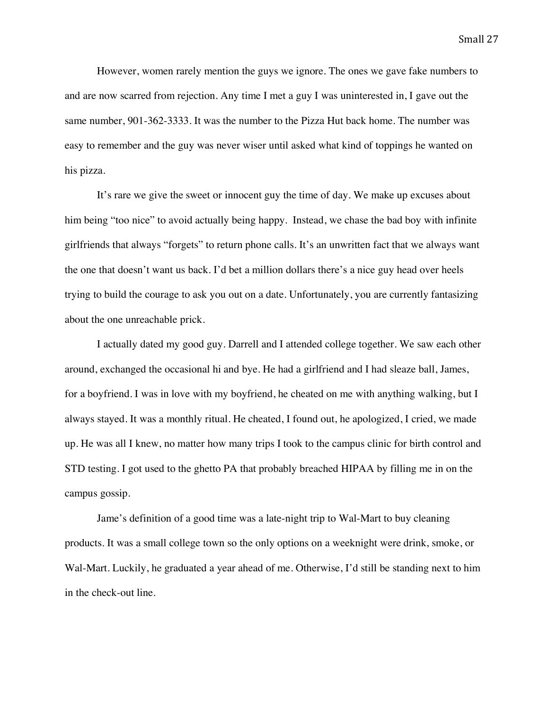However, women rarely mention the guys we ignore. The ones we gave fake numbers to and are now scarred from rejection. Any time I met a guy I was uninterested in, I gave out the same number, 901-362-3333. It was the number to the Pizza Hut back home. The number was easy to remember and the guy was never wiser until asked what kind of toppings he wanted on his pizza.

It's rare we give the sweet or innocent guy the time of day. We make up excuses about him being "too nice" to avoid actually being happy. Instead, we chase the bad boy with infinite girlfriends that always "forgets" to return phone calls. It's an unwritten fact that we always want the one that doesn't want us back. I'd bet a million dollars there's a nice guy head over heels trying to build the courage to ask you out on a date. Unfortunately, you are currently fantasizing about the one unreachable prick.

I actually dated my good guy. Darrell and I attended college together. We saw each other around, exchanged the occasional hi and bye. He had a girlfriend and I had sleaze ball, James, for a boyfriend. I was in love with my boyfriend, he cheated on me with anything walking, but I always stayed. It was a monthly ritual. He cheated, I found out, he apologized, I cried, we made up. He was all I knew, no matter how many trips I took to the campus clinic for birth control and STD testing. I got used to the ghetto PA that probably breached HIPAA by filling me in on the campus gossip.

Jame's definition of a good time was a late-night trip to Wal-Mart to buy cleaning products. It was a small college town so the only options on a weeknight were drink, smoke, or Wal-Mart. Luckily, he graduated a year ahead of me. Otherwise, I'd still be standing next to him in the check-out line.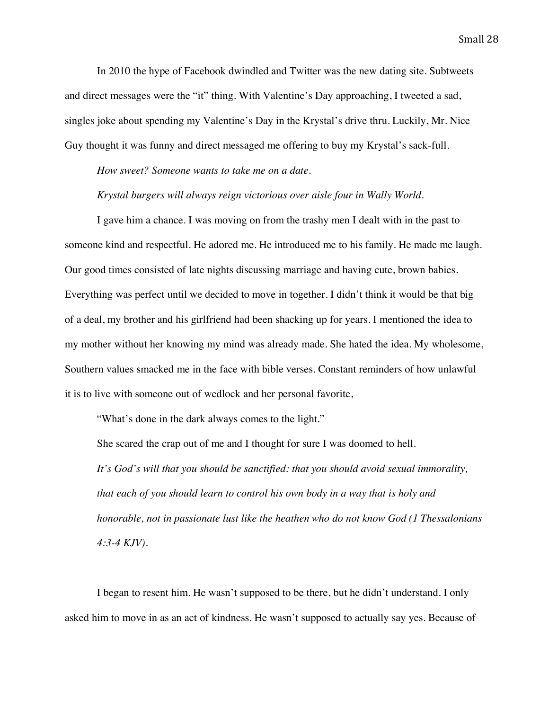In 2010 the hype of Facebook dwindled and Twitter was the new dating site. Subtweets and direct messages were the "it" thing. With Valentine's Day approaching, I tweeted a sad, singles joke about spending my Valentine's Day in the Krystal's drive thru. Luckily, Mr. Nice Guy thought it was funny and direct messaged me offering to buy my Krystal's sack-full.

*How sweet? Someone wants to take me on a date*.

*Krystal burgers will always reign victorious over aisle four in Wally World.*

I gave him a chance. I was moving on from the trashy men I dealt with in the past to someone kind and respectful. He adored me. He introduced me to his family. He made me laugh. Our good times consisted of late nights discussing marriage and having cute, brown babies. Everything was perfect until we decided to move in together. I didn't think it would be that big of a deal, my brother and his girlfriend had been shacking up for years. I mentioned the idea to my mother without her knowing my mind was already made. She hated the idea. My wholesome, Southern values smacked me in the face with bible verses. Constant reminders of how unlawful it is to live with someone out of wedlock and her personal favorite,

"What's done in the dark always comes to the light."

She scared the crap out of me and I thought for sure I was doomed to hell.

*It's God's will that you should be sanctified: that you should avoid sexual immorality, that each of you should learn to control his own body in a way that is holy and honorable, not in passionate lust like the heathen who do not know God (1 Thessalonians 4:3-4 KJV).*

I began to resent him. He wasn't supposed to be there, but he didn't understand. I only asked him to move in as an act of kindness. He wasn't supposed to actually say yes. Because of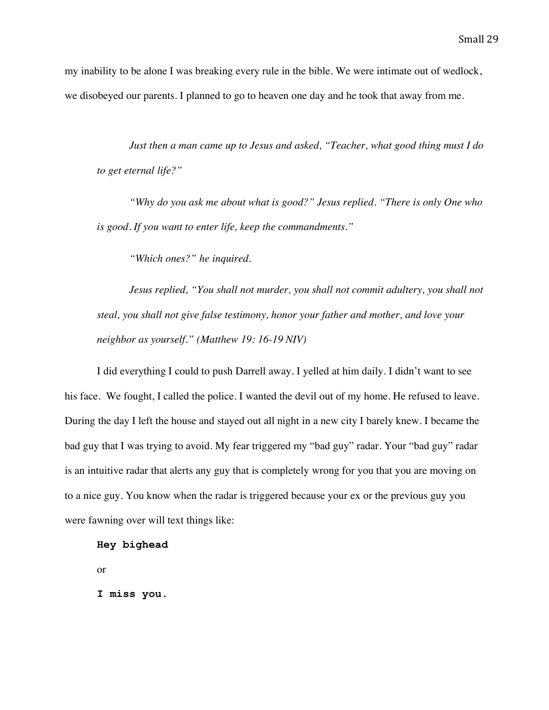my inability to be alone I was breaking every rule in the bible. We were intimate out of wedlock, we disobeyed our parents. I planned to go to heaven one day and he took that away from me.

*Just then a man came up to Jesus and asked, "Teacher, what good thing must I do to get eternal life?"*

*"Why do you ask me about what is good?" Jesus replied. "There is only One who is good. If you want to enter life, keep the commandments."*

*"Which ones?" he inquired.*

*Jesus replied, "You shall not murder, you shall not commit adultery, you shall not steal, you shall not give false testimony, honor your father and mother, and love your neighbor as yourself." (Matthew 19: 16-19 NIV)*

I did everything I could to push Darrell away. I yelled at him daily. I didn't want to see his face. We fought, I called the police. I wanted the devil out of my home. He refused to leave. During the day I left the house and stayed out all night in a new city I barely knew. I became the bad guy that I was trying to avoid. My fear triggered my "bad guy" radar. Your "bad guy" radar is an intuitive radar that alerts any guy that is completely wrong for you that you are moving on to a nice guy. You know when the radar is triggered because your ex or the previous guy you were fawning over will text things like:

```
Hey bighead
```
or

**I miss you**.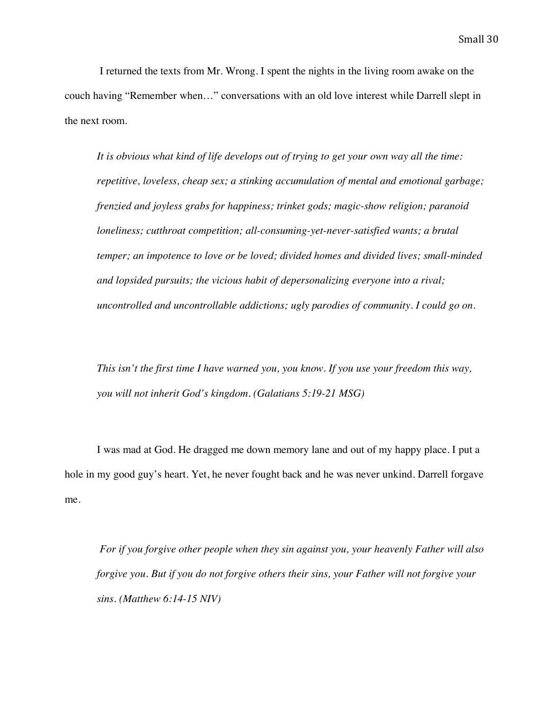I returned the texts from Mr. Wrong. I spent the nights in the living room awake on the couch having "Remember when…" conversations with an old love interest while Darrell slept in the next room.

*It is obvious what kind of life develops out of trying to get your own way all the time: repetitive, loveless, cheap sex; a stinking accumulation of mental and emotional garbage; frenzied and joyless grabs for happiness; trinket gods; magic-show religion; paranoid loneliness; cutthroat competition; all-consuming-yet-never-satisfied wants; a brutal temper; an impotence to love or be loved; divided homes and divided lives; small-minded and lopsided pursuits; the vicious habit of depersonalizing everyone into a rival; uncontrolled and uncontrollable addictions; ugly parodies of community. I could go on.*

*This isn't the first time I have warned you, you know. If you use your freedom this way, you will not inherit God's kingdom. (Galatians 5:19-21 MSG)*

I was mad at God. He dragged me down memory lane and out of my happy place. I put a hole in my good guy's heart. Yet, he never fought back and he was never unkind. Darrell forgave me.

*For if you forgive other people when they sin against you, your heavenly Father will also forgive you. But if you do not forgive others their sins, your Father will not forgive your sins. (Matthew 6:14-15 NIV)*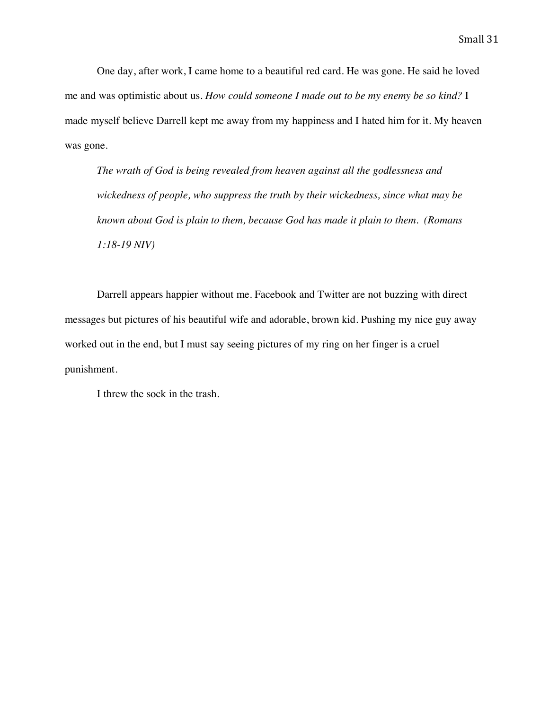One day, after work, I came home to a beautiful red card. He was gone. He said he loved me and was optimistic about us. *How could someone I made out to be my enemy be so kind?* I made myself believe Darrell kept me away from my happiness and I hated him for it. My heaven was gone.

*The wrath of God is being revealed from heaven against all the godlessness and wickedness of people, who suppress the truth by their wickedness, since what may be known about God is plain to them, because God has made it plain to them. (Romans 1:18-19 NIV)*

Darrell appears happier without me. Facebook and Twitter are not buzzing with direct messages but pictures of his beautiful wife and adorable, brown kid. Pushing my nice guy away worked out in the end, but I must say seeing pictures of my ring on her finger is a cruel punishment.

I threw the sock in the trash.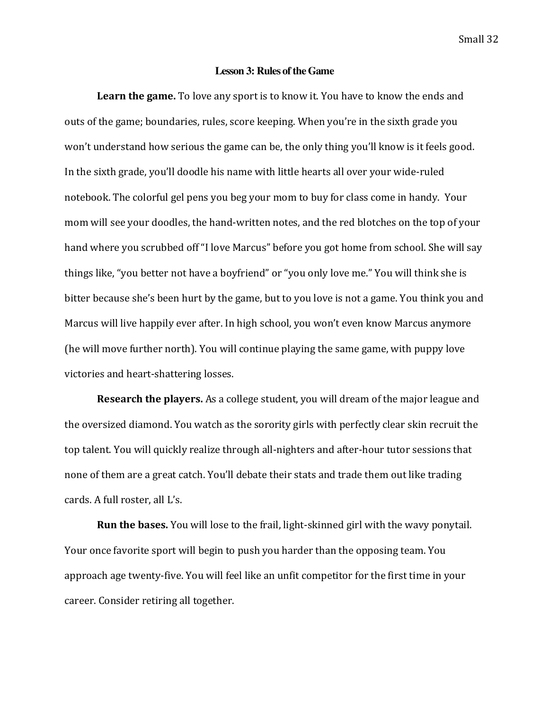### **Lesson 3: Rules of the Game**

**Learn the game.** To love any sport is to know it. You have to know the ends and outs of the game; boundaries, rules, score keeping. When you're in the sixth grade you won't understand how serious the game can be, the only thing you'll know is it feels good. In the sixth grade, you'll doodle his name with little hearts all over your wide-ruled notebook. The colorful gel pens you beg your mom to buy for class come in handy. Your mom will see your doodles, the hand-written notes, and the red blotches on the top of your hand where you scrubbed off "I love Marcus" before you got home from school. She will say things like, "you better not have a boyfriend" or "you only love me." You will think she is bitter because she's been hurt by the game, but to you love is not a game. You think you and Marcus will live happily ever after. In high school, you won't even know Marcus anymore (he will move further north). You will continue playing the same game, with puppy love victories and heart-shattering losses.

**Research the players.** As a college student, you will dream of the major league and the oversized diamond. You watch as the sorority girls with perfectly clear skin recruit the top talent. You will quickly realize through all-nighters and after-hour tutor sessions that none of them are a great catch. You'll debate their stats and trade them out like trading cards. A full roster, all L's.

**Run the bases.** You will lose to the frail, light-skinned girl with the wavy ponytail. Your once favorite sport will begin to push you harder than the opposing team. You approach age twenty-five. You will feel like an unfit competitor for the first time in your career. Consider retiring all together.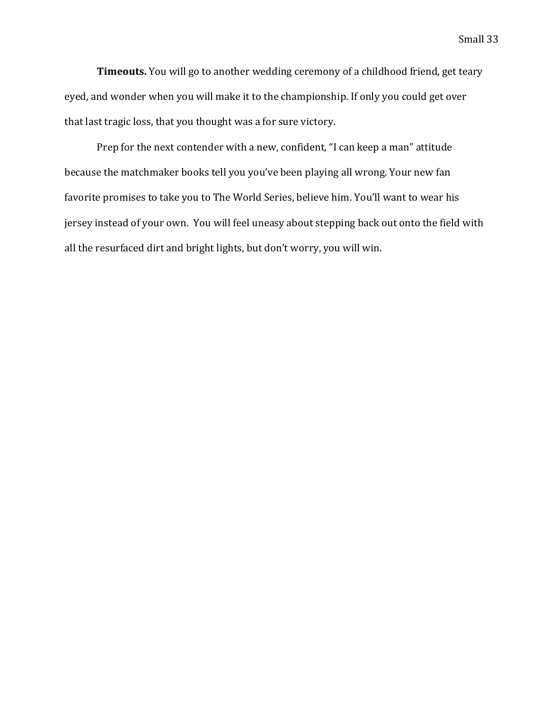**Timeouts.** You will go to another wedding ceremony of a childhood friend, get teary eyed, and wonder when you will make it to the championship. If only you could get over that last tragic loss, that you thought was a for sure victory.

Prep for the next contender with a new, confident, "I can keep a man" attitude because the matchmaker books tell you you've been playing all wrong. Your new fan favorite promises to take you to The World Series, believe him. You'll want to wear his jersey instead of your own. You will feel uneasy about stepping back out onto the field with all the resurfaced dirt and bright lights, but don't worry, you will win.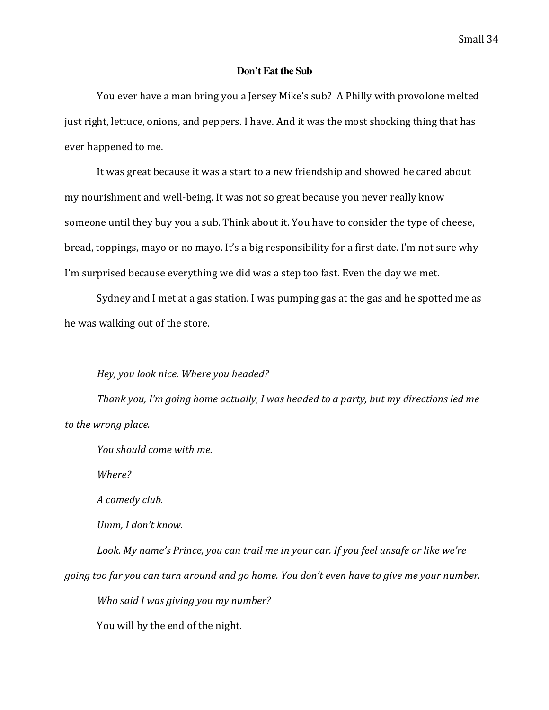### **Don't Eat the Sub**

You ever have a man bring you a Jersey Mike's sub? A Philly with provolone melted just right, lettuce, onions, and peppers. I have. And it was the most shocking thing that has ever happened to me.

It was great because it was a start to a new friendship and showed he cared about my nourishment and well-being. It was not so great because you never really know someone until they buy you a sub. Think about it. You have to consider the type of cheese, bread, toppings, mayo or no mayo. It's a big responsibility for a first date. I'm not sure why I'm surprised because everything we did was a step too fast. Even the day we met.

Sydney and I met at a gas station. I was pumping gas at the gas and he spotted me as he was walking out of the store.

### Hey, you look nice. Where you headed?

Thank you, I'm going home actually, I was headed to a party, but my directions led me to the wrong place.

*You should come with me.*

*Where?*

*A comedy club.*

*Umm, I don't know.* 

Look. My name's Prince, you can trail me in your car. If you feel unsafe or like we're *going too far you can turn around and go home. You don't even have to give me your number.* 

*Who said I was giving you my number?* 

You will by the end of the night.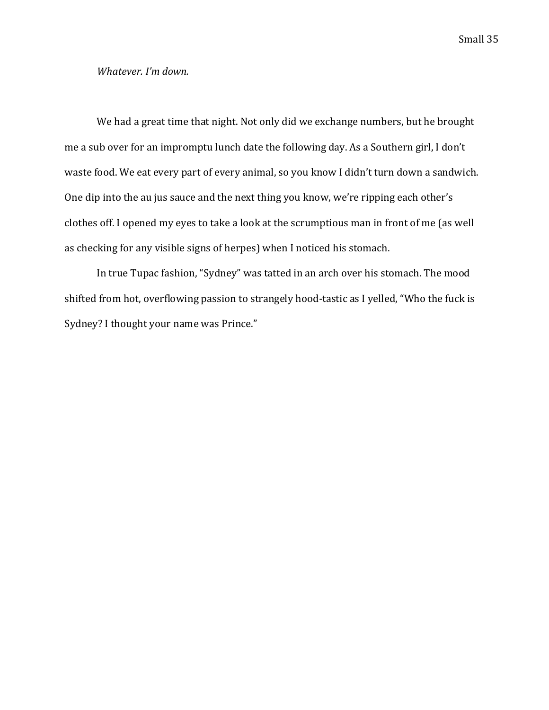### *Whatever. I'm down.*

We had a great time that night. Not only did we exchange numbers, but he brought me a sub over for an impromptu lunch date the following day. As a Southern girl, I don't waste food. We eat every part of every animal, so you know I didn't turn down a sandwich. One dip into the au jus sauce and the next thing you know, we're ripping each other's clothes off. I opened my eyes to take a look at the scrumptious man in front of me (as well as checking for any visible signs of herpes) when I noticed his stomach.

In true Tupac fashion, "Sydney" was tatted in an arch over his stomach. The mood shifted from hot, overflowing passion to strangely hood-tastic as I yelled, "Who the fuck is Sydney? I thought your name was Prince."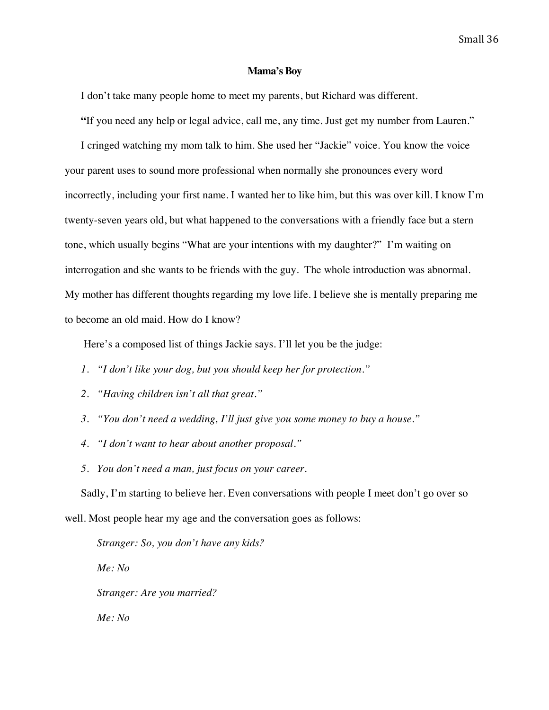### **Mama's Boy**

I don't take many people home to meet my parents, but Richard was different.

**"**If you need any help or legal advice, call me, any time. Just get my number from Lauren."

I cringed watching my mom talk to him. She used her "Jackie" voice. You know the voice your parent uses to sound more professional when normally she pronounces every word incorrectly, including your first name. I wanted her to like him, but this was over kill. I know I'm twenty-seven years old, but what happened to the conversations with a friendly face but a stern tone, which usually begins "What are your intentions with my daughter?" I'm waiting on interrogation and she wants to be friends with the guy. The whole introduction was abnormal. My mother has different thoughts regarding my love life. I believe she is mentally preparing me to become an old maid. How do I know?

Here's a composed list of things Jackie says. I'll let you be the judge:

- *1. "I don't like your dog, but you should keep her for protection."*
- *2. "Having children isn't all that great."*
- *3. "You don't need a wedding, I'll just give you some money to buy a house."*
- *4. "I don't want to hear about another proposal."*
- *5. You don't need a man, just focus on your career.*

Sadly, I'm starting to believe her. Even conversations with people I meet don't go over so well. Most people hear my age and the conversation goes as follows:

*Stranger: So, you don't have any kids? Me: No Stranger: Are you married? Me: No*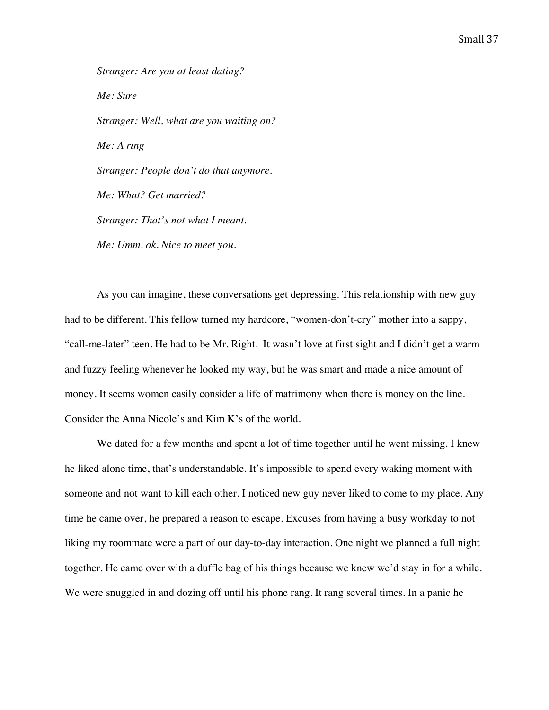*Stranger: Are you at least dating? Me: Sure Stranger: Well, what are you waiting on? Me: A ring Stranger: People don't do that anymore. Me: What? Get married? Stranger: That's not what I meant. Me: Umm, ok. Nice to meet you.* 

As you can imagine, these conversations get depressing. This relationship with new guy had to be different. This fellow turned my hardcore, "women-don't-cry" mother into a sappy, "call-me-later" teen. He had to be Mr. Right. It wasn't love at first sight and I didn't get a warm and fuzzy feeling whenever he looked my way, but he was smart and made a nice amount of money. It seems women easily consider a life of matrimony when there is money on the line. Consider the Anna Nicole's and Kim K's of the world.

We dated for a few months and spent a lot of time together until he went missing. I knew he liked alone time, that's understandable. It's impossible to spend every waking moment with someone and not want to kill each other. I noticed new guy never liked to come to my place. Any time he came over, he prepared a reason to escape. Excuses from having a busy workday to not liking my roommate were a part of our day-to-day interaction. One night we planned a full night together. He came over with a duffle bag of his things because we knew we'd stay in for a while. We were snuggled in and dozing off until his phone rang. It rang several times. In a panic he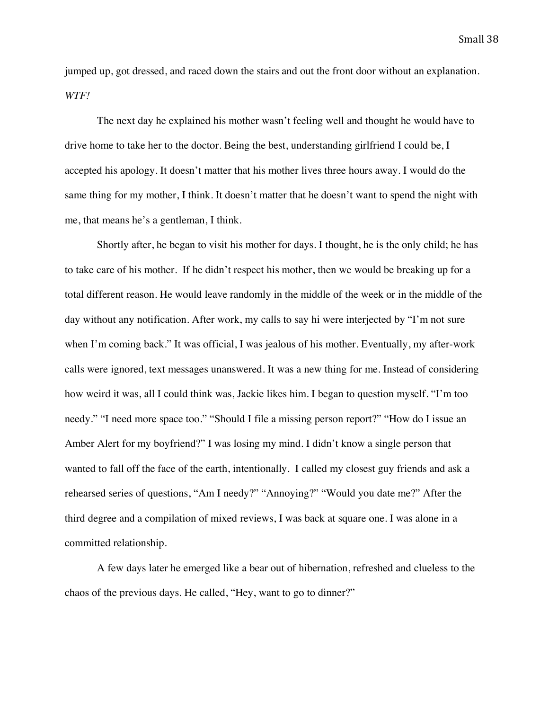jumped up, got dressed, and raced down the stairs and out the front door without an explanation. *WTF!*

The next day he explained his mother wasn't feeling well and thought he would have to drive home to take her to the doctor. Being the best, understanding girlfriend I could be, I accepted his apology. It doesn't matter that his mother lives three hours away. I would do the same thing for my mother, I think. It doesn't matter that he doesn't want to spend the night with me, that means he's a gentleman, I think.

Shortly after, he began to visit his mother for days. I thought, he is the only child; he has to take care of his mother. If he didn't respect his mother, then we would be breaking up for a total different reason. He would leave randomly in the middle of the week or in the middle of the day without any notification. After work, my calls to say hi were interjected by "I'm not sure when I'm coming back." It was official, I was jealous of his mother. Eventually, my after-work calls were ignored, text messages unanswered. It was a new thing for me. Instead of considering how weird it was, all I could think was, Jackie likes him. I began to question myself. "I'm too needy." "I need more space too." "Should I file a missing person report?" "How do I issue an Amber Alert for my boyfriend?" I was losing my mind. I didn't know a single person that wanted to fall off the face of the earth, intentionally. I called my closest guy friends and ask a rehearsed series of questions, "Am I needy?" "Annoying?" "Would you date me?" After the third degree and a compilation of mixed reviews, I was back at square one. I was alone in a committed relationship.

A few days later he emerged like a bear out of hibernation, refreshed and clueless to the chaos of the previous days. He called, "Hey, want to go to dinner?"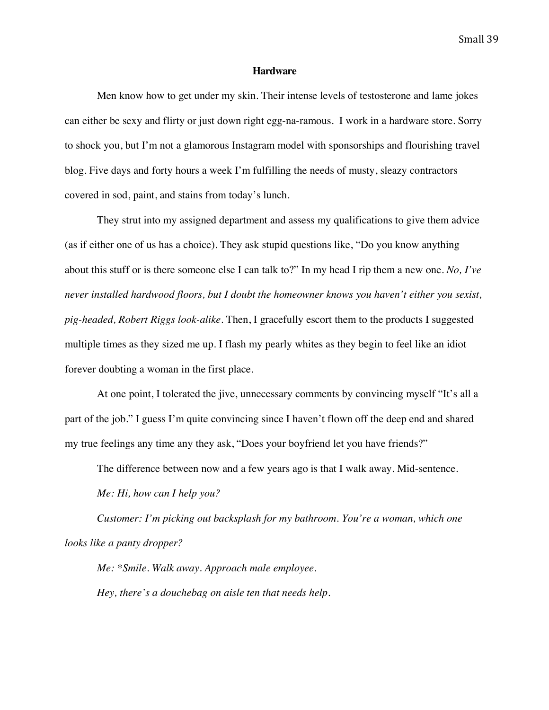### **Hardware**

Men know how to get under my skin. Their intense levels of testosterone and lame jokes can either be sexy and flirty or just down right egg-na-ramous. I work in a hardware store. Sorry to shock you, but I'm not a glamorous Instagram model with sponsorships and flourishing travel blog. Five days and forty hours a week I'm fulfilling the needs of musty, sleazy contractors covered in sod, paint, and stains from today's lunch.

They strut into my assigned department and assess my qualifications to give them advice (as if either one of us has a choice). They ask stupid questions like, "Do you know anything about this stuff or is there someone else I can talk to?" In my head I rip them a new one. *No, I've never installed hardwood floors, but I doubt the homeowner knows you haven't either you sexist, pig-headed, Robert Riggs look-alike.* Then, I gracefully escort them to the products I suggested multiple times as they sized me up. I flash my pearly whites as they begin to feel like an idiot forever doubting a woman in the first place.

At one point, I tolerated the jive, unnecessary comments by convincing myself "It's all a part of the job." I guess I'm quite convincing since I haven't flown off the deep end and shared my true feelings any time any they ask, "Does your boyfriend let you have friends?"

The difference between now and a few years ago is that I walk away. Mid-sentence.

*Me: Hi, how can I help you?*

*Customer: I'm picking out backsplash for my bathroom. You're a woman, which one looks like a panty dropper?*

*Me: \*Smile. Walk away. Approach male employee. Hey, there's a douchebag on aisle ten that needs help.*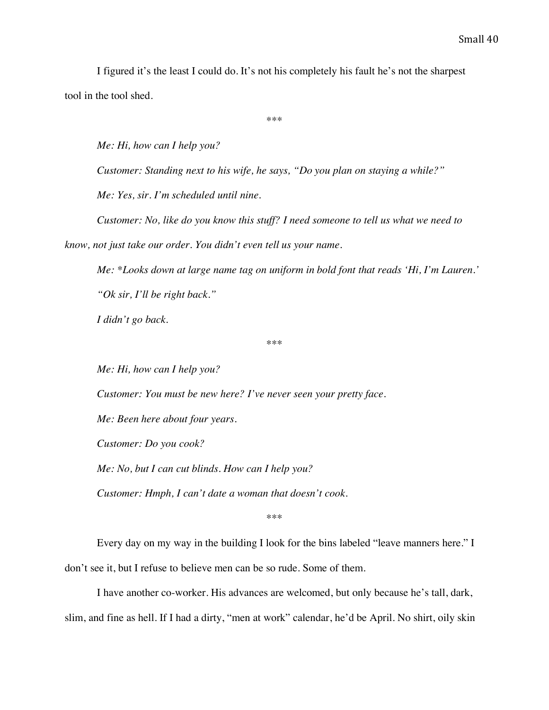I figured it's the least I could do. It's not his completely his fault he's not the sharpest tool in the tool shed.

\*\*\*

*Me: Hi, how can I help you?*

*Customer: Standing next to his wife, he says, "Do you plan on staying a while?"*

*Me: Yes, sir. I'm scheduled until nine.*

*Customer: No, like do you know this stuff? I need someone to tell us what we need to* 

*know, not just take our order. You didn't even tell us your name.*

*Me: \*Looks down at large name tag on uniform in bold font that reads 'Hi, I'm Lauren.' "Ok sir, I'll be right back."*

*I didn't go back.*

\*\*\*

*Me: Hi, how can I help you?*

*Customer: You must be new here? I've never seen your pretty face.*

*Me: Been here about four years.*

*Customer: Do you cook?*

*Me: No, but I can cut blinds. How can I help you?*

*Customer: Hmph, I can't date a woman that doesn't cook.*

\*\*\*

Every day on my way in the building I look for the bins labeled "leave manners here." I

don't see it, but I refuse to believe men can be so rude. Some of them.

I have another co-worker. His advances are welcomed, but only because he's tall, dark,

slim, and fine as hell. If I had a dirty, "men at work" calendar, he'd be April. No shirt, oily skin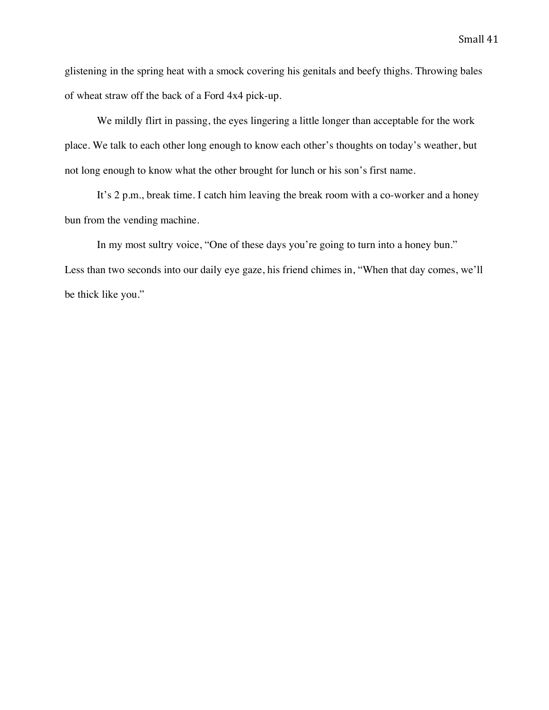glistening in the spring heat with a smock covering his genitals and beefy thighs. Throwing bales of wheat straw off the back of a Ford 4x4 pick-up.

We mildly flirt in passing, the eyes lingering a little longer than acceptable for the work place. We talk to each other long enough to know each other's thoughts on today's weather, but not long enough to know what the other brought for lunch or his son's first name.

It's 2 p.m., break time. I catch him leaving the break room with a co-worker and a honey bun from the vending machine.

In my most sultry voice, "One of these days you're going to turn into a honey bun." Less than two seconds into our daily eye gaze, his friend chimes in, "When that day comes, we'll be thick like you."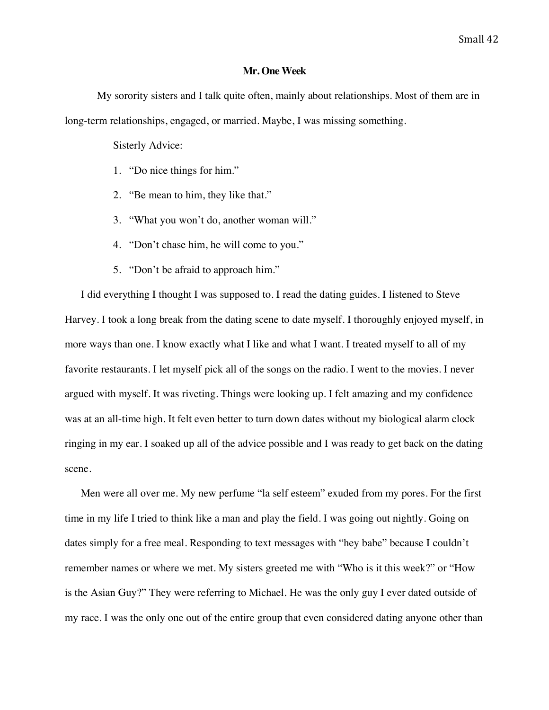### **Mr. One Week**

My sorority sisters and I talk quite often, mainly about relationships. Most of them are in long-term relationships, engaged, or married. Maybe, I was missing something.

Sisterly Advice:

- 1. "Do nice things for him."
- 2. "Be mean to him, they like that."
- 3. "What you won't do, another woman will."
- 4. "Don't chase him, he will come to you."
- 5. "Don't be afraid to approach him."

I did everything I thought I was supposed to. I read the dating guides. I listened to Steve Harvey. I took a long break from the dating scene to date myself. I thoroughly enjoyed myself, in more ways than one. I know exactly what I like and what I want. I treated myself to all of my favorite restaurants. I let myself pick all of the songs on the radio. I went to the movies. I never argued with myself. It was riveting. Things were looking up. I felt amazing and my confidence was at an all-time high. It felt even better to turn down dates without my biological alarm clock ringing in my ear. I soaked up all of the advice possible and I was ready to get back on the dating scene.

Men were all over me. My new perfume "la self esteem" exuded from my pores. For the first time in my life I tried to think like a man and play the field. I was going out nightly. Going on dates simply for a free meal. Responding to text messages with "hey babe" because I couldn't remember names or where we met. My sisters greeted me with "Who is it this week?" or "How is the Asian Guy?" They were referring to Michael*.* He was the only guy I ever dated outside of my race. I was the only one out of the entire group that even considered dating anyone other than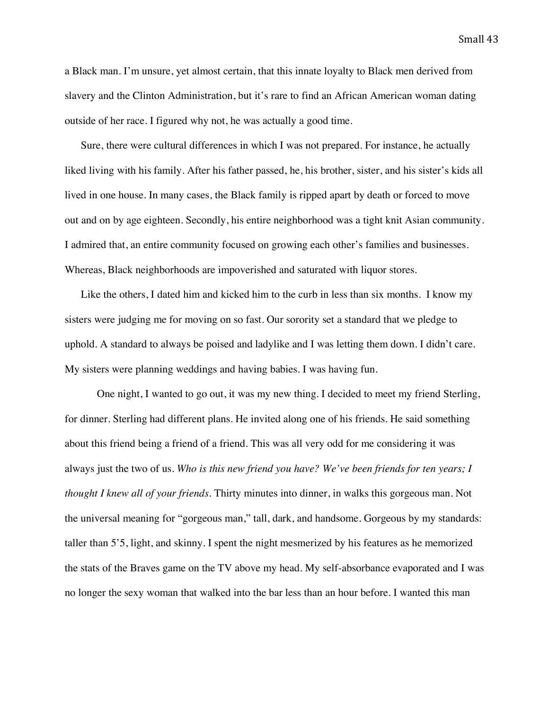a Black man. I'm unsure, yet almost certain, that this innate loyalty to Black men derived from slavery and the Clinton Administration, but it's rare to find an African American woman dating outside of her race. I figured why not, he was actually a good time.

Sure, there were cultural differences in which I was not prepared. For instance, he actually liked living with his family. After his father passed, he, his brother, sister, and his sister's kids all lived in one house. In many cases, the Black family is ripped apart by death or forced to move out and on by age eighteen. Secondly, his entire neighborhood was a tight knit Asian community. I admired that, an entire community focused on growing each other's families and businesses. Whereas, Black neighborhoods are impoverished and saturated with liquor stores.

Like the others, I dated him and kicked him to the curb in less than six months. I know my sisters were judging me for moving on so fast. Our sorority set a standard that we pledge to uphold. A standard to always be poised and ladylike and I was letting them down. I didn't care. My sisters were planning weddings and having babies. I was having fun.

One night, I wanted to go out, it was my new thing. I decided to meet my friend Sterling, for dinner. Sterling had different plans. He invited along one of his friends. He said something about this friend being a friend of a friend. This was all very odd for me considering it was always just the two of us. *Who is this new friend you have? We've been friends for ten years; I thought I knew all of your friends.* Thirty minutes into dinner, in walks this gorgeous man. Not the universal meaning for "gorgeous man," tall, dark, and handsome. Gorgeous by my standards: taller than 5'5, light, and skinny. I spent the night mesmerized by his features as he memorized the stats of the Braves game on the TV above my head. My self-absorbance evaporated and I was no longer the sexy woman that walked into the bar less than an hour before. I wanted this man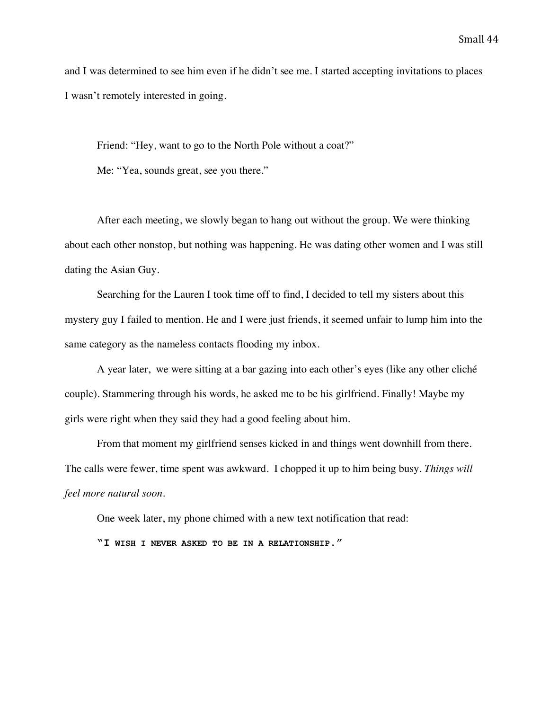and I was determined to see him even if he didn't see me. I started accepting invitations to places I wasn't remotely interested in going.

Friend: "Hey, want to go to the North Pole without a coat?"

Me: "Yea, sounds great, see you there."

After each meeting, we slowly began to hang out without the group. We were thinking about each other nonstop, but nothing was happening. He was dating other women and I was still dating the Asian Guy.

Searching for the Lauren I took time off to find, I decided to tell my sisters about this mystery guy I failed to mention. He and I were just friends, it seemed unfair to lump him into the same category as the nameless contacts flooding my inbox.

A year later, we were sitting at a bar gazing into each other's eyes (like any other cliché couple). Stammering through his words, he asked me to be his girlfriend. Finally! Maybe my girls were right when they said they had a good feeling about him.

From that moment my girlfriend senses kicked in and things went downhill from there. The calls were fewer, time spent was awkward. I chopped it up to him being busy. *Things will feel more natural soon*.

One week later, my phone chimed with a new text notification that read:

**"I WISH I NEVER ASKED TO BE IN A RELATIONSHIP."**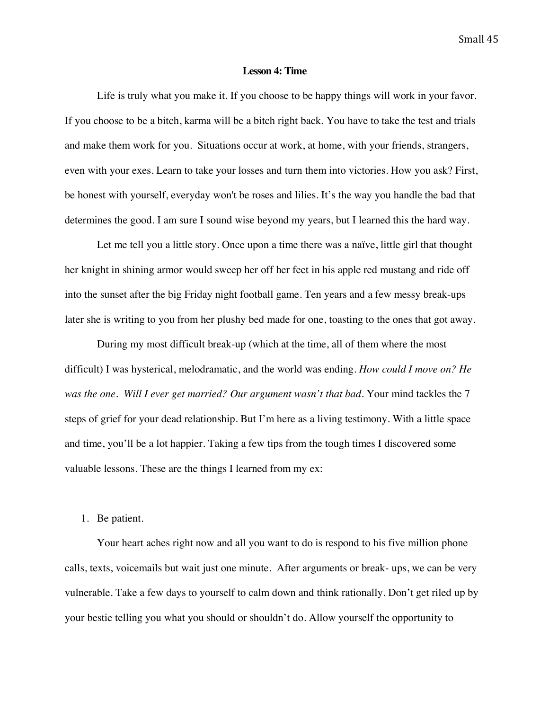### **Lesson 4: Time**

Life is truly what you make it. If you choose to be happy things will work in your favor. If you choose to be a bitch, karma will be a bitch right back. You have to take the test and trials and make them work for you. Situations occur at work, at home, with your friends, strangers, even with your exes. Learn to take your losses and turn them into victories. How you ask? First, be honest with yourself, everyday won't be roses and lilies. It's the way you handle the bad that determines the good. I am sure I sound wise beyond my years, but I learned this the hard way.

Let me tell you a little story. Once upon a time there was a naïve, little girl that thought her knight in shining armor would sweep her off her feet in his apple red mustang and ride off into the sunset after the big Friday night football game. Ten years and a few messy break-ups later she is writing to you from her plushy bed made for one, toasting to the ones that got away.

During my most difficult break-up (which at the time, all of them where the most difficult) I was hysterical, melodramatic, and the world was ending. *How could I move on? He was the one. Will I ever get married? Our argument wasn't that bad.* Your mind tackles the 7 steps of grief for your dead relationship. But I'm here as a living testimony. With a little space and time, you'll be a lot happier. Taking a few tips from the tough times I discovered some valuable lessons. These are the things I learned from my ex:

### 1. Be patient.

Your heart aches right now and all you want to do is respond to his five million phone calls, texts, voicemails but wait just one minute. After arguments or break- ups, we can be very vulnerable. Take a few days to yourself to calm down and think rationally. Don't get riled up by your bestie telling you what you should or shouldn't do. Allow yourself the opportunity to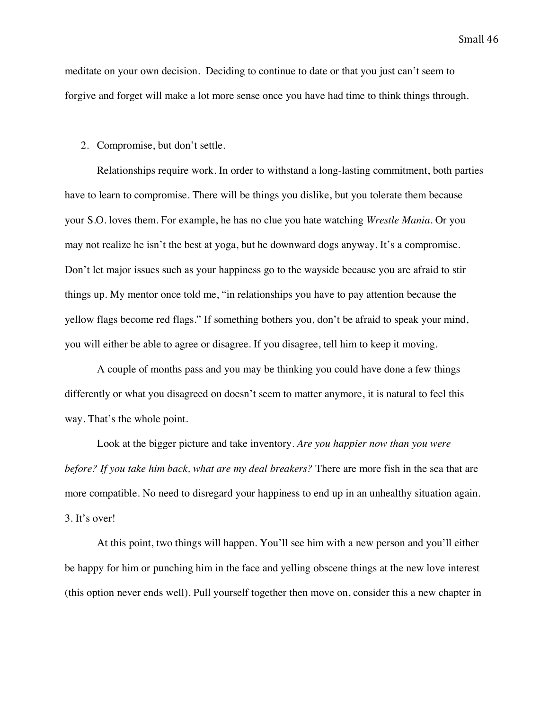meditate on your own decision. Deciding to continue to date or that you just can't seem to forgive and forget will make a lot more sense once you have had time to think things through.

### 2. Compromise, but don't settle.

Relationships require work. In order to withstand a long-lasting commitment, both parties have to learn to compromise. There will be things you dislike, but you tolerate them because your S.O. loves them. For example, he has no clue you hate watching *Wrestle Mania*. Or you may not realize he isn't the best at yoga, but he downward dogs anyway. It's a compromise. Don't let major issues such as your happiness go to the wayside because you are afraid to stir things up. My mentor once told me, "in relationships you have to pay attention because the yellow flags become red flags." If something bothers you, don't be afraid to speak your mind, you will either be able to agree or disagree. If you disagree, tell him to keep it moving.

A couple of months pass and you may be thinking you could have done a few things differently or what you disagreed on doesn't seem to matter anymore, it is natural to feel this way. That's the whole point.

Look at the bigger picture and take inventory. *Are you happier now than you were before? If you take him back, what are my deal breakers?* There are more fish in the sea that are more compatible. No need to disregard your happiness to end up in an unhealthy situation again. 3. It's over!

At this point, two things will happen. You'll see him with a new person and you'll either be happy for him or punching him in the face and yelling obscene things at the new love interest (this option never ends well). Pull yourself together then move on, consider this a new chapter in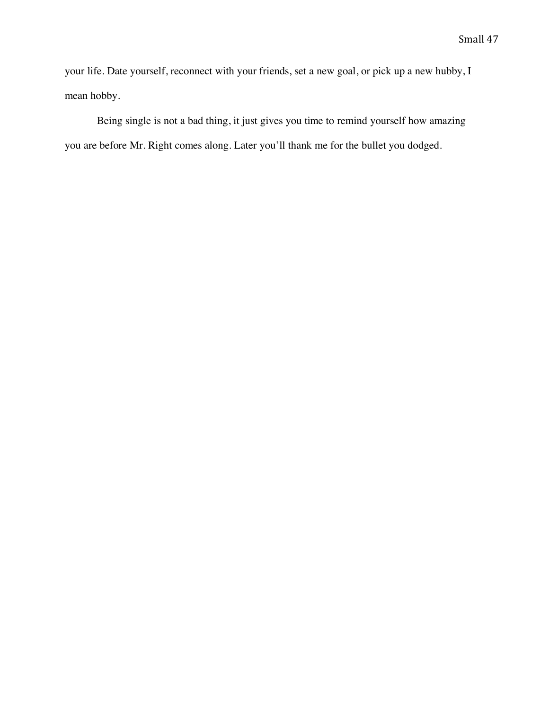your life. Date yourself, reconnect with your friends, set a new goal, or pick up a new hubby, I mean hobby.

Being single is not a bad thing, it just gives you time to remind yourself how amazing you are before Mr. Right comes along. Later you'll thank me for the bullet you dodged.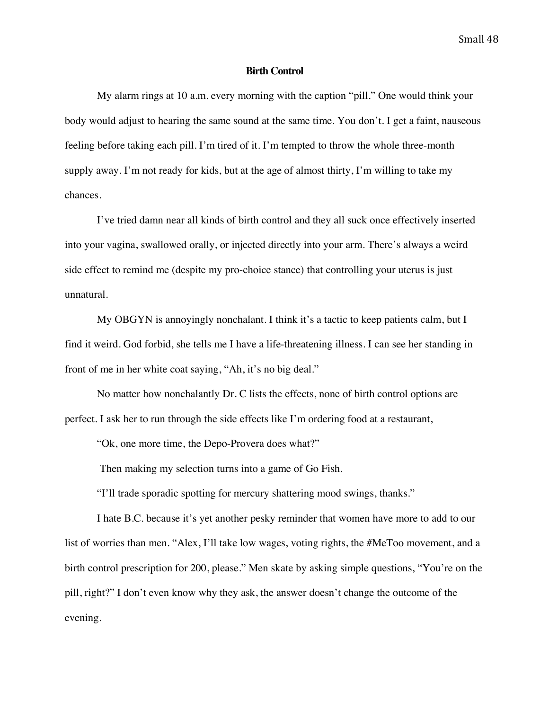### **Birth Control**

My alarm rings at 10 a.m. every morning with the caption "pill." One would think your body would adjust to hearing the same sound at the same time. You don't. I get a faint, nauseous feeling before taking each pill. I'm tired of it. I'm tempted to throw the whole three-month supply away. I'm not ready for kids, but at the age of almost thirty, I'm willing to take my chances.

I've tried damn near all kinds of birth control and they all suck once effectively inserted into your vagina, swallowed orally, or injected directly into your arm. There's always a weird side effect to remind me (despite my pro-choice stance) that controlling your uterus is just unnatural.

My OBGYN is annoyingly nonchalant. I think it's a tactic to keep patients calm, but I find it weird. God forbid, she tells me I have a life-threatening illness. I can see her standing in front of me in her white coat saying, "Ah, it's no big deal."

No matter how nonchalantly Dr. C lists the effects, none of birth control options are perfect. I ask her to run through the side effects like I'm ordering food at a restaurant,

"Ok, one more time, the Depo-Provera does what?"

Then making my selection turns into a game of Go Fish.

"I'll trade sporadic spotting for mercury shattering mood swings, thanks."

I hate B.C. because it's yet another pesky reminder that women have more to add to our list of worries than men. "Alex, I'll take low wages, voting rights, the #MeToo movement, and a birth control prescription for 200, please." Men skate by asking simple questions, "You're on the pill, right?" I don't even know why they ask, the answer doesn't change the outcome of the evening.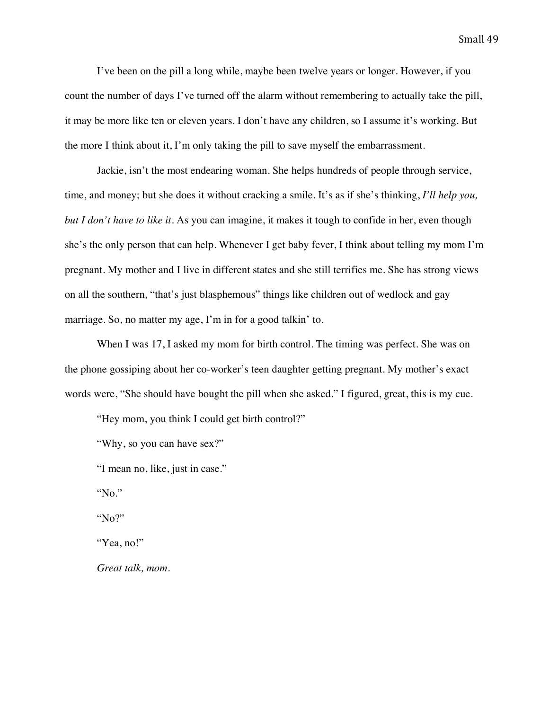I've been on the pill a long while, maybe been twelve years or longer. However, if you count the number of days I've turned off the alarm without remembering to actually take the pill, it may be more like ten or eleven years. I don't have any children, so I assume it's working. But the more I think about it, I'm only taking the pill to save myself the embarrassment.

Jackie, isn't the most endearing woman. She helps hundreds of people through service, time, and money; but she does it without cracking a smile. It's as if she's thinking, *I'll help you, but I don't have to like it.* As you can imagine, it makes it tough to confide in her, even though she's the only person that can help. Whenever I get baby fever, I think about telling my mom I'm pregnant. My mother and I live in different states and she still terrifies me. She has strong views on all the southern, "that's just blasphemous" things like children out of wedlock and gay marriage. So, no matter my age, I'm in for a good talkin' to.

When I was 17, I asked my mom for birth control. The timing was perfect. She was on the phone gossiping about her co-worker's teen daughter getting pregnant. My mother's exact words were, "She should have bought the pill when she asked." I figured, great, this is my cue.

"Hey mom, you think I could get birth control?"

"Why, so you can have sex?"

"I mean no, like, just in case."

"No."

"No?"

"Yea, no!"

*Great talk, mom.*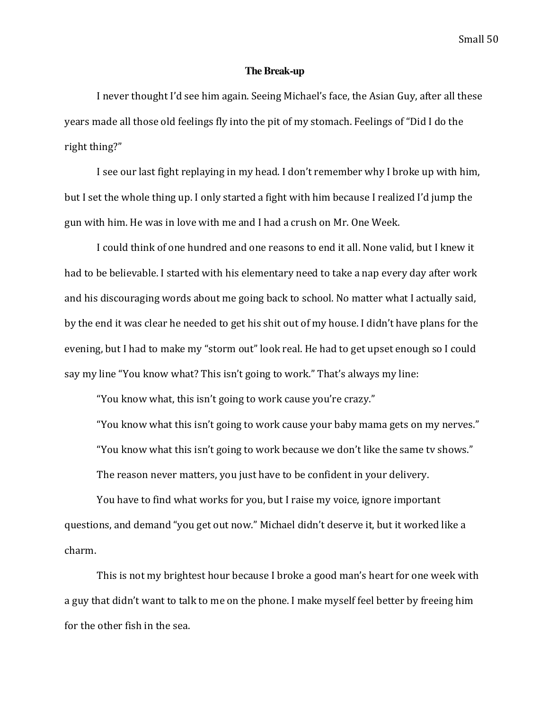### **The Break-up**

I never thought I'd see him again. Seeing Michael's face, the Asian Guy, after all these years made all those old feelings fly into the pit of my stomach. Feelings of "Did I do the right thing?"

I see our last fight replaying in my head. I don't remember why I broke up with him, but I set the whole thing up. I only started a fight with him because I realized I'd jump the gun with him. He was in love with me and I had a crush on Mr. One Week.

I could think of one hundred and one reasons to end it all. None valid, but I knew it had to be believable. I started with his elementary need to take a nap every day after work and his discouraging words about me going back to school. No matter what I actually said, by the end it was clear he needed to get his shit out of my house. I didn't have plans for the evening, but I had to make my "storm out" look real. He had to get upset enough so I could say my line "You know what? This isn't going to work." That's always my line:

"You know what, this isn't going to work cause you're crazy."

"You know what this isn't going to work cause your baby mama gets on my nerves." "You know what this isn't going to work because we don't like the same ty shows." The reason never matters, you just have to be confident in your delivery.

You have to find what works for you, but I raise my voice, ignore important questions, and demand "you get out now." Michael didn't deserve it, but it worked like a charm.

This is not my brightest hour because I broke a good man's heart for one week with a guy that didn't want to talk to me on the phone. I make myself feel better by freeing him for the other fish in the sea.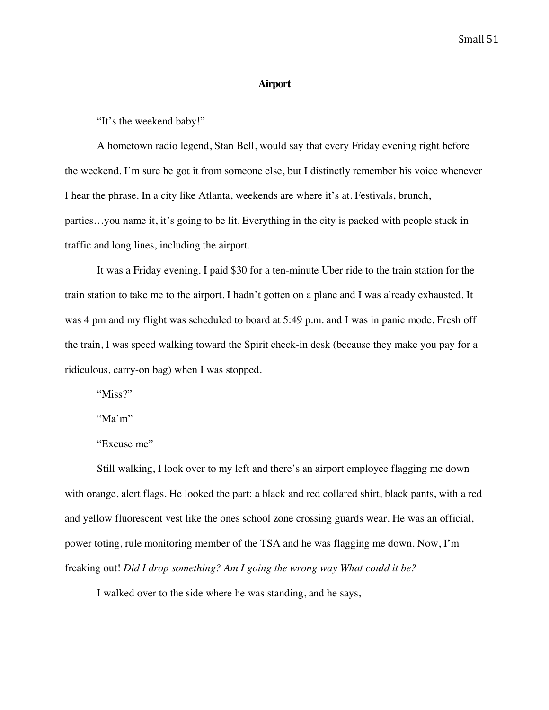### **Airport**

"It's the weekend baby!"

A hometown radio legend, Stan Bell, would say that every Friday evening right before the weekend. I'm sure he got it from someone else, but I distinctly remember his voice whenever I hear the phrase. In a city like Atlanta, weekends are where it's at. Festivals, brunch, parties…you name it, it's going to be lit. Everything in the city is packed with people stuck in traffic and long lines, including the airport.

It was a Friday evening. I paid \$30 for a ten-minute Uber ride to the train station for the train station to take me to the airport. I hadn't gotten on a plane and I was already exhausted. It was 4 pm and my flight was scheduled to board at 5:49 p.m. and I was in panic mode. Fresh off the train, I was speed walking toward the Spirit check-in desk (because they make you pay for a ridiculous, carry-on bag) when I was stopped.

"Miss?"

"Ma'm"

"Excuse me"

Still walking, I look over to my left and there's an airport employee flagging me down with orange, alert flags. He looked the part: a black and red collared shirt, black pants, with a red and yellow fluorescent vest like the ones school zone crossing guards wear. He was an official, power toting, rule monitoring member of the TSA and he was flagging me down. Now, I'm freaking out! *Did I drop something? Am I going the wrong way What could it be?*

I walked over to the side where he was standing, and he says,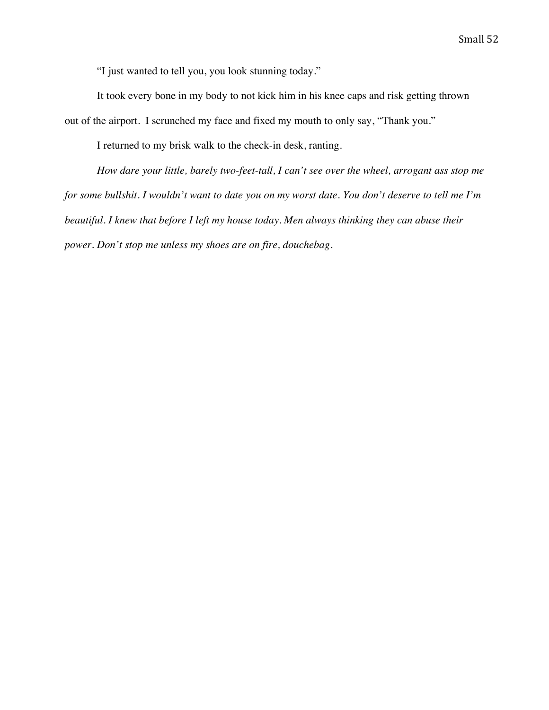"I just wanted to tell you, you look stunning today."

It took every bone in my body to not kick him in his knee caps and risk getting thrown out of the airport. I scrunched my face and fixed my mouth to only say, "Thank you."

I returned to my brisk walk to the check-in desk, ranting.

*How dare your little, barely two-feet-tall, I can't see over the wheel, arrogant ass stop me for some bullshit. I wouldn't want to date you on my worst date. You don't deserve to tell me I'm beautiful. I knew that before I left my house today. Men always thinking they can abuse their power. Don't stop me unless my shoes are on fire, douchebag.*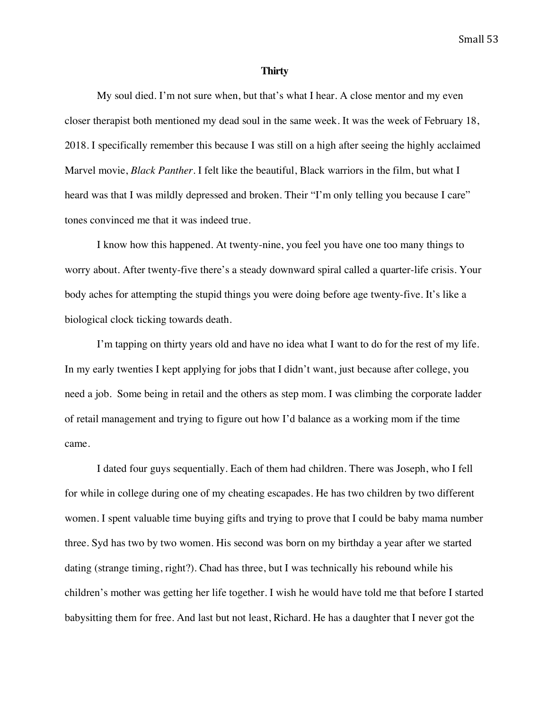#### **Thirty**

My soul died. I'm not sure when, but that's what I hear. A close mentor and my even closer therapist both mentioned my dead soul in the same week. It was the week of February 18, 2018. I specifically remember this because I was still on a high after seeing the highly acclaimed Marvel movie, *Black Panther*. I felt like the beautiful, Black warriors in the film, but what I heard was that I was mildly depressed and broken. Their "I'm only telling you because I care" tones convinced me that it was indeed true.

I know how this happened. At twenty-nine, you feel you have one too many things to worry about. After twenty-five there's a steady downward spiral called a quarter-life crisis. Your body aches for attempting the stupid things you were doing before age twenty-five. It's like a biological clock ticking towards death.

I'm tapping on thirty years old and have no idea what I want to do for the rest of my life. In my early twenties I kept applying for jobs that I didn't want, just because after college, you need a job. Some being in retail and the others as step mom. I was climbing the corporate ladder of retail management and trying to figure out how I'd balance as a working mom if the time came.

I dated four guys sequentially. Each of them had children. There was Joseph, who I fell for while in college during one of my cheating escapades. He has two children by two different women. I spent valuable time buying gifts and trying to prove that I could be baby mama number three. Syd has two by two women. His second was born on my birthday a year after we started dating (strange timing, right?). Chad has three, but I was technically his rebound while his children's mother was getting her life together. I wish he would have told me that before I started babysitting them for free. And last but not least, Richard. He has a daughter that I never got the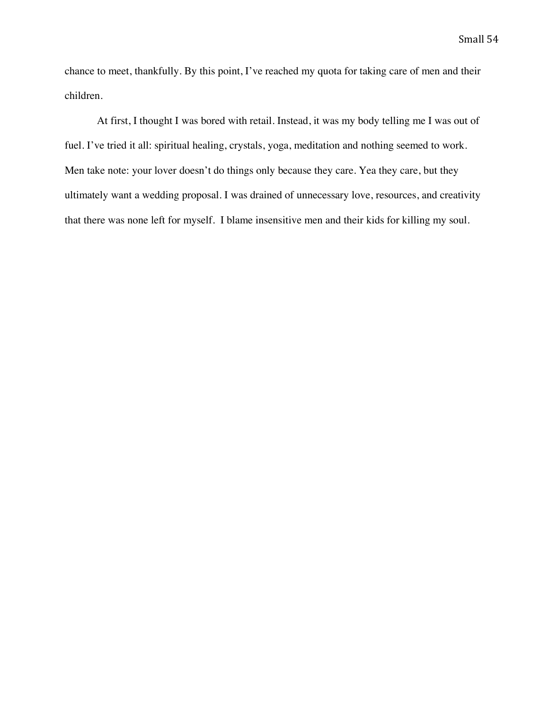chance to meet, thankfully. By this point, I've reached my quota for taking care of men and their children.

At first, I thought I was bored with retail. Instead, it was my body telling me I was out of fuel. I've tried it all: spiritual healing, crystals, yoga, meditation and nothing seemed to work. Men take note: your lover doesn't do things only because they care. Yea they care, but they ultimately want a wedding proposal. I was drained of unnecessary love, resources, and creativity that there was none left for myself. I blame insensitive men and their kids for killing my soul.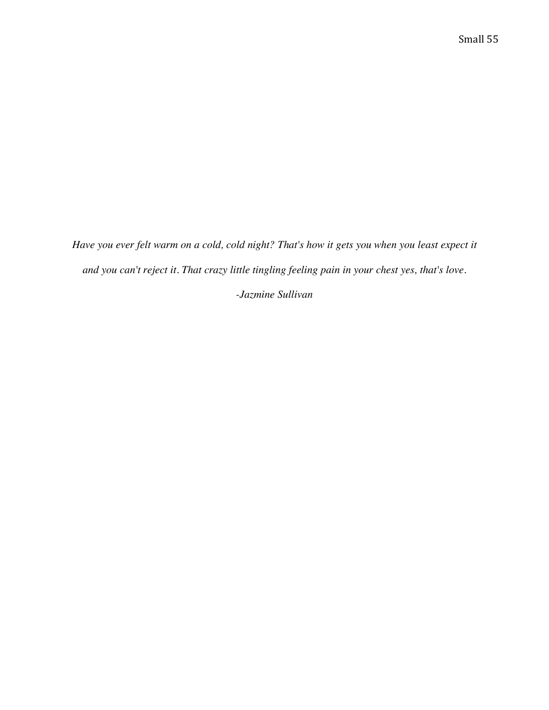*Have you ever felt warm on a cold, cold night? That's how it gets you when you least expect it and you can't reject it. That crazy little tingling feeling pain in your chest yes, that's love.*

*-Jazmine Sullivan*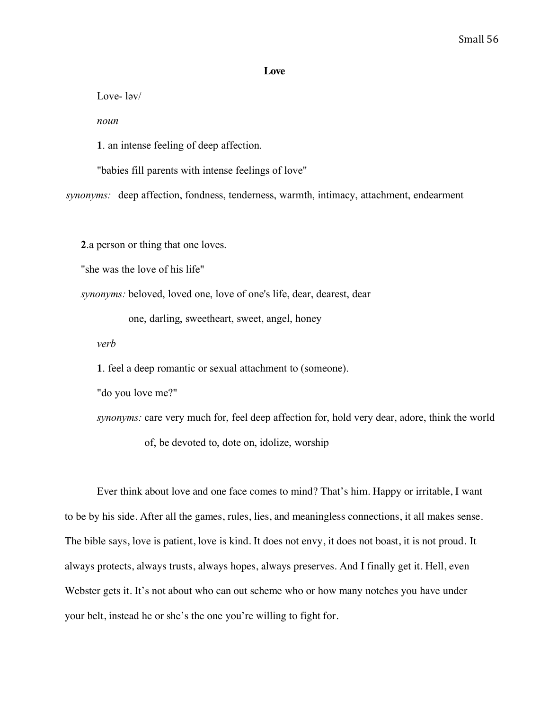### **Love**

Love- ləv/

*noun*

**1**. an intense feeling of deep affection.

"babies fill parents with intense feelings of love"

*synonyms:* deep affection, fondness, tenderness, warmth, intimacy, attachment, endearment

**2**.a person or thing that one loves.

"she was the love of his life"

*synonyms:* beloved, loved one, love of one's life, dear, dearest, dear

one, darling, sweetheart, sweet, angel, honey

*verb*

**1**. feel a deep romantic or sexual attachment to (someone).

"do you love me?"

*synonyms:* care very much for, feel deep affection for, hold very dear, adore, think the world of, be devoted to, dote on, idolize, worship

Ever think about love and one face comes to mind? That's him. Happy or irritable, I want to be by his side. After all the games, rules, lies, and meaningless connections, it all makes sense. The bible says, love is patient, love is kind. It does not envy, it does not boast, it is not proud. It always protects, always trusts, always hopes, always preserves. And I finally get it. Hell, even Webster gets it. It's not about who can out scheme who or how many notches you have under your belt, instead he or she's the one you're willing to fight for.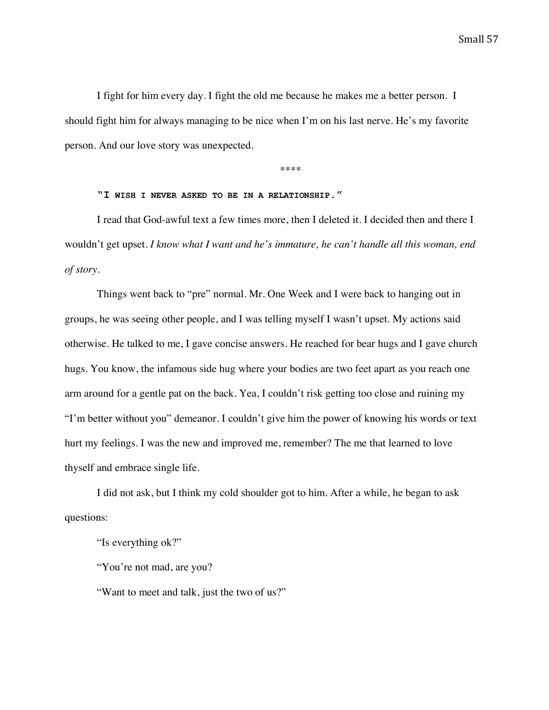I fight for him every day. I fight the old me because he makes me a better person. I should fight him for always managing to be nice when I'm on his last nerve. He's my favorite person. And our love story was unexpected.

\*\*\*\*

### **"I WISH I NEVER ASKED TO BE IN A RELATIONSHIP."**

I read that God-awful text a few times more, then I deleted it. I decided then and there I wouldn't get upset. *I know what I want and he's immature, he can't handle all this woman, end of story.*

Things went back to "pre" normal. Mr. One Week and I were back to hanging out in groups, he was seeing other people, and I was telling myself I wasn't upset. My actions said otherwise. He talked to me, I gave concise answers. He reached for bear hugs and I gave church hugs. You know, the infamous side hug where your bodies are two feet apart as you reach one arm around for a gentle pat on the back. Yea, I couldn't risk getting too close and ruining my "I'm better without you" demeanor. I couldn't give him the power of knowing his words or text hurt my feelings. I was the new and improved me, remember? The me that learned to love thyself and embrace single life.

I did not ask, but I think my cold shoulder got to him. After a while, he began to ask questions:

"Is everything ok?"

"You're not mad, are you?

"Want to meet and talk, just the two of us?"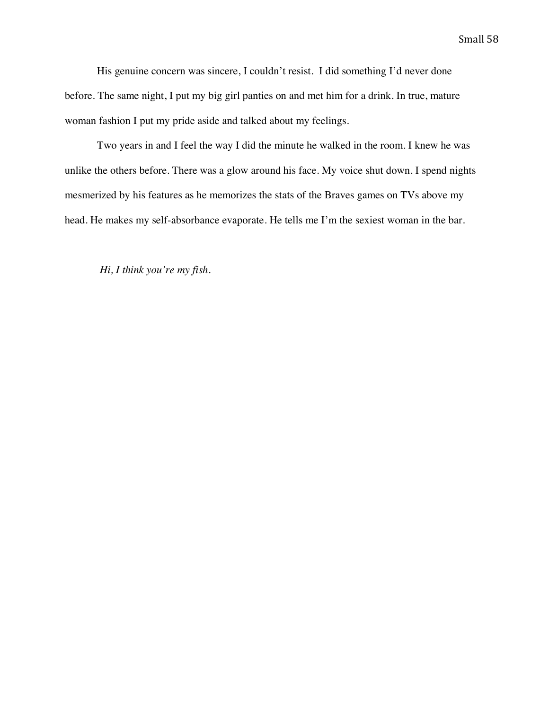His genuine concern was sincere, I couldn't resist. I did something I'd never done before. The same night, I put my big girl panties on and met him for a drink. In true, mature woman fashion I put my pride aside and talked about my feelings.

Two years in and I feel the way I did the minute he walked in the room. I knew he was unlike the others before. There was a glow around his face. My voice shut down. I spend nights mesmerized by his features as he memorizes the stats of the Braves games on TVs above my head. He makes my self-absorbance evaporate. He tells me I'm the sexiest woman in the bar.

*Hi, I think you're my fish.*